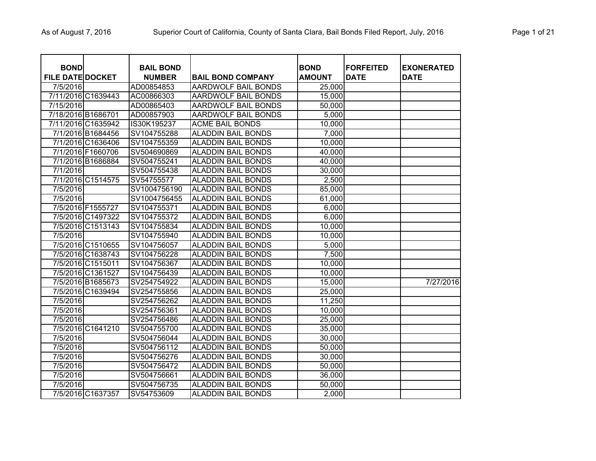| <b>BOND</b>             |                    | <b>BAIL BOND</b> |                            | <b>BOND</b>   | <b>FORFEITED</b> | <b>EXONERATED</b> |
|-------------------------|--------------------|------------------|----------------------------|---------------|------------------|-------------------|
| <b>FILE DATE DOCKET</b> |                    | <b>NUMBER</b>    | <b>BAIL BOND COMPANY</b>   | <b>AMOUNT</b> | <b>DATE</b>      | <b>DATE</b>       |
| 7/5/2016                |                    | AD00854853       | AARDWOLF BAIL BONDS        | 25,000        |                  |                   |
|                         | 7/11/2016 C1639443 | AC00866303       | <b>AARDWOLF BAIL BONDS</b> | 15,000        |                  |                   |
| 7/15/2016               |                    | AD00865403       | <b>AARDWOLF BAIL BONDS</b> | 50,000        |                  |                   |
| 7/18/2016 B1686701      |                    | AD00857903       | <b>AARDWOLF BAIL BONDS</b> | 5,000         |                  |                   |
|                         | 7/11/2016 C1635942 | IS30K195237      | <b>ACME BAIL BONDS</b>     | 10,000        |                  |                   |
|                         | 7/1/2016 B1684456  | SV104755288      | <b>ALADDIN BAIL BONDS</b>  | 7,000         |                  |                   |
|                         | 7/1/2016 C1636406  | SV104755359      | <b>ALADDIN BAIL BONDS</b>  | 10,000        |                  |                   |
|                         | 7/1/2016 F1660706  | SV504690869      | <b>ALADDIN BAIL BONDS</b>  | 40,000        |                  |                   |
|                         | 7/1/2016 B1686884  | SV504755241      | <b>ALADDIN BAIL BONDS</b>  | 40,000        |                  |                   |
| 7/1/2016                |                    | SV504755438      | <b>ALADDIN BAIL BONDS</b>  | 30,000        |                  |                   |
|                         | 7/1/2016 C1514575  | SV54755577       | <b>ALADDIN BAIL BONDS</b>  | 2,500         |                  |                   |
| 7/5/2016                |                    | SV1004756190     | <b>ALADDIN BAIL BONDS</b>  | 85,000        |                  |                   |
| 7/5/2016                |                    | SV1004756455     | <b>ALADDIN BAIL BONDS</b>  | 61,000        |                  |                   |
|                         | 7/5/2016 F1555727  | SV104755371      | <b>ALADDIN BAIL BONDS</b>  | 6,000         |                  |                   |
|                         | 7/5/2016 C1497322  | SV104755372      | <b>ALADDIN BAIL BONDS</b>  | 6,000         |                  |                   |
|                         | 7/5/2016 C1513143  | SV104755834      | <b>ALADDIN BAIL BONDS</b>  | 10,000        |                  |                   |
| 7/5/2016                |                    | SV104755940      | <b>ALADDIN BAIL BONDS</b>  | 10,000        |                  |                   |
|                         | 7/5/2016 C1510655  | SV104756057      | <b>ALADDIN BAIL BONDS</b>  | 5,000         |                  |                   |
|                         | 7/5/2016 C1638743  | SV104756228      | <b>ALADDIN BAIL BONDS</b>  | 7,500         |                  |                   |
|                         | 7/5/2016 C1515011  | SV104756367      | <b>ALADDIN BAIL BONDS</b>  | 10,000        |                  |                   |
|                         | 7/5/2016 C1361527  | SV104756439      | <b>ALADDIN BAIL BONDS</b>  | 10,000        |                  |                   |
|                         | 7/5/2016 B1685673  | SV254754922      | <b>ALADDIN BAIL BONDS</b>  | 15,000        |                  | 7/27/2016         |
|                         | 7/5/2016 C1639494  | SV254755856      | <b>ALADDIN BAIL BONDS</b>  | 25,000        |                  |                   |
| 7/5/2016                |                    | SV254756262      | <b>ALADDIN BAIL BONDS</b>  | 11,250        |                  |                   |
| 7/5/2016                |                    | SV254756361      | <b>ALADDIN BAIL BONDS</b>  | 10,000        |                  |                   |
| 7/5/2016                |                    | SV254756486      | <b>ALADDIN BAIL BONDS</b>  | 25,000        |                  |                   |
|                         | 7/5/2016 C1641210  | SV504755700      | <b>ALADDIN BAIL BONDS</b>  | 35,000        |                  |                   |
| 7/5/2016                |                    | SV504756044      | <b>ALADDIN BAIL BONDS</b>  | 30,000        |                  |                   |
| 7/5/2016                |                    | SV504756112      | <b>ALADDIN BAIL BONDS</b>  | 50,000        |                  |                   |
| 7/5/2016                |                    | SV504756276      | <b>ALADDIN BAIL BONDS</b>  | 30,000        |                  |                   |
| 7/5/2016                |                    | SV504756472      | ALADDIN BAIL BONDS         | 50,000        |                  |                   |
| 7/5/2016                |                    | SV504756661      | <b>ALADDIN BAIL BONDS</b>  | 36,000        |                  |                   |
| 7/5/2016                |                    | SV504756735      | <b>ALADDIN BAIL BONDS</b>  | 50,000        |                  |                   |
|                         | 7/5/2016 C1637357  | SV54753609       | <b>ALADDIN BAIL BONDS</b>  | 2,000         |                  |                   |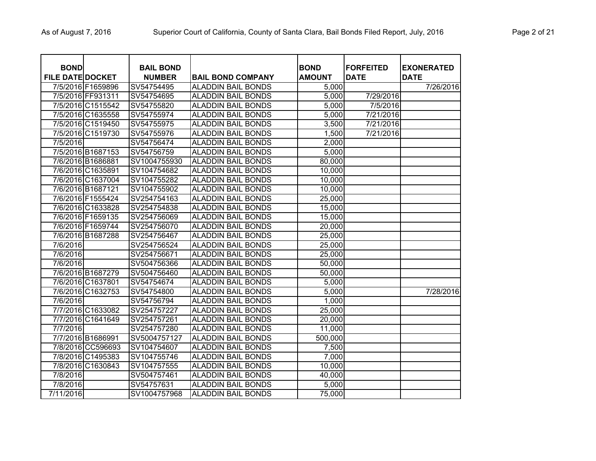| <b>BOND</b><br><b>FILE DATE DOCKET</b> |                   | <b>BAIL BOND</b><br><b>NUMBER</b> | <b>BAIL BOND COMPANY</b>  | <b>BOND</b><br><b>AMOUNT</b> | <b>FORFEITED</b><br><b>DATE</b> | <b>EXONERATED</b><br><b>DATE</b> |
|----------------------------------------|-------------------|-----------------------------------|---------------------------|------------------------------|---------------------------------|----------------------------------|
|                                        | 7/5/2016 F1659896 | SV54754495                        | <b>ALADDIN BAIL BONDS</b> | 5,000                        |                                 | 7/26/2016                        |
|                                        | 7/5/2016 FF931311 | SV54754695                        | <b>ALADDIN BAIL BONDS</b> | 5,000                        | 7/29/2016                       |                                  |
|                                        | 7/5/2016 C1515542 | SV54755820                        | <b>ALADDIN BAIL BONDS</b> | 5,000                        | 7/5/2016                        |                                  |
|                                        | 7/5/2016 C1635558 | SV54755974                        | <b>ALADDIN BAIL BONDS</b> | 5,000                        | 7/21/2016                       |                                  |
|                                        | 7/5/2016 C1519450 | SV54755975                        | <b>ALADDIN BAIL BONDS</b> | 3,500                        | 7/21/2016                       |                                  |
|                                        | 7/5/2016 C1519730 | SV54755976                        | <b>ALADDIN BAIL BONDS</b> | 1,500                        | 7/21/2016                       |                                  |
| 7/5/2016                               |                   | SV54756474                        | <b>ALADDIN BAIL BONDS</b> | 2,000                        |                                 |                                  |
|                                        | 7/5/2016 B1687153 | SV54756759                        | <b>ALADDIN BAIL BONDS</b> | 5,000                        |                                 |                                  |
|                                        | 7/6/2016 B1686881 | SV1004755930                      | <b>ALADDIN BAIL BONDS</b> | 80,000                       |                                 |                                  |
|                                        | 7/6/2016 C1635891 | SV104754682                       | <b>ALADDIN BAIL BONDS</b> | 10,000                       |                                 |                                  |
|                                        | 7/6/2016 C1637004 | SV104755282                       | <b>ALADDIN BAIL BONDS</b> | 10,000                       |                                 |                                  |
|                                        | 7/6/2016 B1687121 | SV104755902                       | <b>ALADDIN BAIL BONDS</b> | 10,000                       |                                 |                                  |
|                                        | 7/6/2016 F1555424 | SV254754163                       | <b>ALADDIN BAIL BONDS</b> | 25,000                       |                                 |                                  |
|                                        | 7/6/2016 C1633828 | SV254754838                       | <b>ALADDIN BAIL BONDS</b> | 15,000                       |                                 |                                  |
|                                        | 7/6/2016 F1659135 | SV254756069                       | <b>ALADDIN BAIL BONDS</b> | 15,000                       |                                 |                                  |
|                                        | 7/6/2016 F1659744 | SV254756070                       | <b>ALADDIN BAIL BONDS</b> | 20,000                       |                                 |                                  |
|                                        | 7/6/2016 B1687288 | SV254756467                       | <b>ALADDIN BAIL BONDS</b> | 25,000                       |                                 |                                  |
| 7/6/2016                               |                   | SV254756524                       | <b>ALADDIN BAIL BONDS</b> | 25,000                       |                                 |                                  |
| 7/6/2016                               |                   | SV254756671                       | <b>ALADDIN BAIL BONDS</b> | 25,000                       |                                 |                                  |
| 7/6/2016                               |                   | SV504756366                       | <b>ALADDIN BAIL BONDS</b> | 50,000                       |                                 |                                  |
|                                        | 7/6/2016 B1687279 | SV504756460                       | <b>ALADDIN BAIL BONDS</b> | 50,000                       |                                 |                                  |
|                                        | 7/6/2016 C1637801 | SV54754674                        | <b>ALADDIN BAIL BONDS</b> | 5,000                        |                                 |                                  |
|                                        | 7/6/2016 C1632753 | SV54754800                        | <b>ALADDIN BAIL BONDS</b> | 5,000                        |                                 | 7/28/2016                        |
| 7/6/2016                               |                   | SV54756794                        | <b>ALADDIN BAIL BONDS</b> | 1,000                        |                                 |                                  |
|                                        | 7/7/2016 C1633082 | SV254757227                       | <b>ALADDIN BAIL BONDS</b> | 25,000                       |                                 |                                  |
|                                        | 7/7/2016 C1641649 | SV254757261                       | <b>ALADDIN BAIL BONDS</b> | 20,000                       |                                 |                                  |
| 7/7/2016                               |                   | SV254757280                       | <b>ALADDIN BAIL BONDS</b> | 11,000                       |                                 |                                  |
|                                        | 7/7/2016 B1686991 | SV5004757127                      | <b>ALADDIN BAIL BONDS</b> | 500,000                      |                                 |                                  |
|                                        | 7/8/2016 CC596693 | SV104754607                       | <b>ALADDIN BAIL BONDS</b> | 7,500                        |                                 |                                  |
|                                        | 7/8/2016 C1495383 | SV104755746                       | <b>ALADDIN BAIL BONDS</b> | 7,000                        |                                 |                                  |
|                                        | 7/8/2016 C1630843 | SV104757555                       | <b>ALADDIN BAIL BONDS</b> | 10,000                       |                                 |                                  |
| 7/8/2016                               |                   | SV504757461                       | <b>ALADDIN BAIL BONDS</b> | 40,000                       |                                 |                                  |
| 7/8/2016                               |                   | SV54757631                        | <b>ALADDIN BAIL BONDS</b> | 5,000                        |                                 |                                  |
| 7/11/2016                              |                   | SV1004757968                      | <b>ALADDIN BAIL BONDS</b> | 75,000                       |                                 |                                  |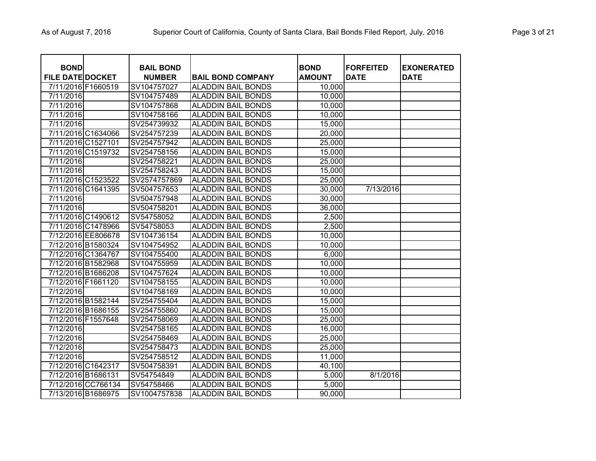| <b>BOND</b>             |                    | <b>BAIL BOND</b> |                           | <b>BOND</b>   | <b>FORFEITED</b> | <b>EXONERATED</b> |
|-------------------------|--------------------|------------------|---------------------------|---------------|------------------|-------------------|
| <b>FILE DATE DOCKET</b> |                    | <b>NUMBER</b>    | <b>BAIL BOND COMPANY</b>  | <b>AMOUNT</b> | <b>DATE</b>      | <b>DATE</b>       |
| 7/11/2016 F1660519      |                    | SV104757027      | <b>ALADDIN BAIL BONDS</b> | 10,000        |                  |                   |
| 7/11/2016               |                    | SV104757489      | <b>ALADDIN BAIL BONDS</b> | 10,000        |                  |                   |
| 7/11/2016               |                    | SV104757868      | <b>ALADDIN BAIL BONDS</b> | 10,000        |                  |                   |
| 7/11/2016               |                    | SV104758166      | <b>ALADDIN BAIL BONDS</b> | 10,000        |                  |                   |
| 7/11/2016               |                    | SV254739932      | <b>ALADDIN BAIL BONDS</b> | 15,000        |                  |                   |
|                         | 7/11/2016 C1634066 | SV254757239      | <b>ALADDIN BAIL BONDS</b> | 20,000        |                  |                   |
| 7/11/2016 C1527101      |                    | SV254757942      | <b>ALADDIN BAIL BONDS</b> | 25,000        |                  |                   |
|                         | 7/11/2016 C1519732 | SV254758156      | <b>ALADDIN BAIL BONDS</b> | 15,000        |                  |                   |
| 7/11/2016               |                    | SV254758221      | <b>ALADDIN BAIL BONDS</b> | 25,000        |                  |                   |
| 7/11/2016               |                    | SV254758243      | <b>ALADDIN BAIL BONDS</b> | 15,000        |                  |                   |
|                         | 7/11/2016 C1523522 | SV2574757869     | <b>ALADDIN BAIL BONDS</b> | 25,000        |                  |                   |
|                         | 7/11/2016 C1641395 | SV504757653      | <b>ALADDIN BAIL BONDS</b> | 30,000        | 7/13/2016        |                   |
| 7/11/2016               |                    | SV504757948      | <b>ALADDIN BAIL BONDS</b> | 30,000        |                  |                   |
| 7/11/2016               |                    | SV504758201      | <b>ALADDIN BAIL BONDS</b> | 36,000        |                  |                   |
|                         | 7/11/2016 C1490612 | SV54758052       | <b>ALADDIN BAIL BONDS</b> | 2,500         |                  |                   |
|                         | 7/11/2016 C1478966 | SV54758053       | <b>ALADDIN BAIL BONDS</b> | 2,500         |                  |                   |
|                         | 7/12/2016 EE806678 | SV104736154      | <b>ALADDIN BAIL BONDS</b> | 10,000        |                  |                   |
|                         | 7/12/2016 B1580324 | SV104754952      | <b>ALADDIN BAIL BONDS</b> | 10,000        |                  |                   |
|                         | 7/12/2016 C1364767 | SV104755400      | <b>ALADDIN BAIL BONDS</b> | 6,000         |                  |                   |
|                         | 7/12/2016 B1582968 | SV104755959      | <b>ALADDIN BAIL BONDS</b> | 10,000        |                  |                   |
| 7/12/2016 B1686208      |                    | SV104757624      | <b>ALADDIN BAIL BONDS</b> | 10,000        |                  |                   |
| 7/12/2016 F1661120      |                    | SV104758155      | <b>ALADDIN BAIL BONDS</b> | 10,000        |                  |                   |
| 7/12/2016               |                    | SV104758169      | <b>ALADDIN BAIL BONDS</b> | 10,000        |                  |                   |
|                         | 7/12/2016 B1582144 | SV254755404      | <b>ALADDIN BAIL BONDS</b> | 15,000        |                  |                   |
|                         | 7/12/2016 B1686155 | SV254755860      | <b>ALADDIN BAIL BONDS</b> | 15,000        |                  |                   |
| 7/12/2016 F1557648      |                    | SV254758069      | <b>ALADDIN BAIL BONDS</b> | 25,000        |                  |                   |
| 7/12/2016               |                    | SV254758165      | <b>ALADDIN BAIL BONDS</b> | 16,000        |                  |                   |
| 7/12/2016               |                    | SV254758469      | <b>ALADDIN BAIL BONDS</b> | 25,000        |                  |                   |
| 7/12/2016               |                    | SV254758473      | <b>ALADDIN BAIL BONDS</b> | 25,000        |                  |                   |
| 7/12/2016               |                    | SV254758512      | <b>ALADDIN BAIL BONDS</b> | 11,000        |                  |                   |
| 7/12/2016 C1642317      |                    | SV504758391      | <b>ALADDIN BAIL BONDS</b> | 40,100        |                  |                   |
| 7/12/2016 B1686131      |                    | SV54754849       | <b>ALADDIN BAIL BONDS</b> | 5,000         | 8/1/2016         |                   |
|                         | 7/12/2016 CC766134 | SV54758466       | <b>ALADDIN BAIL BONDS</b> | 5,000         |                  |                   |
| 7/13/2016 B1686975      |                    | SV1004757838     | <b>ALADDIN BAIL BONDS</b> | 90,000        |                  |                   |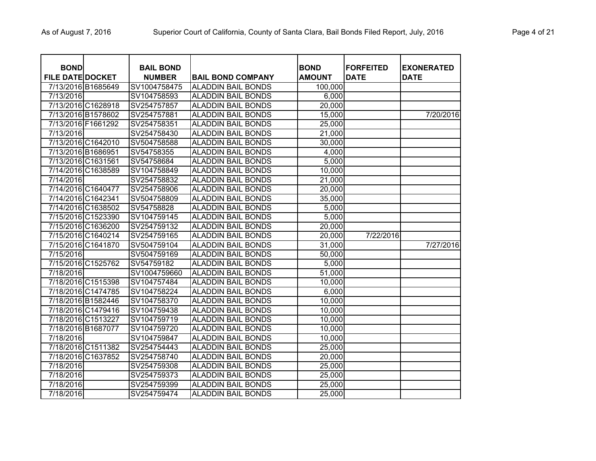| <b>BOND</b>             |                    | <b>BAIL BOND</b> |                           | <b>BOND</b>   | <b>FORFEITED</b> | <b>EXONERATED</b> |
|-------------------------|--------------------|------------------|---------------------------|---------------|------------------|-------------------|
| <b>FILE DATE DOCKET</b> |                    | <b>NUMBER</b>    | <b>IBAIL BOND COMPANY</b> | <b>AMOUNT</b> | <b>DATE</b>      | <b>DATE</b>       |
| 7/13/2016 B1685649      |                    | SV1004758475     | <b>ALADDIN BAIL BONDS</b> | 100,000       |                  |                   |
| 7/13/2016               |                    | SV104758593      | <b>ALADDIN BAIL BONDS</b> | 6,000         |                  |                   |
| 7/13/2016 C1628918      |                    | SV254757857      | <b>ALADDIN BAIL BONDS</b> | 20,000        |                  |                   |
| 7/13/2016 B1578602      |                    | SV254757881      | <b>ALADDIN BAIL BONDS</b> | 15,000        |                  | 7/20/2016         |
| 7/13/2016 F1661292      |                    | SV254758351      | <b>ALADDIN BAIL BONDS</b> | 25,000        |                  |                   |
| 7/13/2016               |                    | SV254758430      | <b>ALADDIN BAIL BONDS</b> | 21,000        |                  |                   |
| 7/13/2016 C1642010      |                    | SV504758588      | <b>ALADDIN BAIL BONDS</b> | 30,000        |                  |                   |
| 7/13/2016 B1686951      |                    | SV54758355       | <b>ALADDIN BAIL BONDS</b> | 4,000         |                  |                   |
| 7/13/2016 C1631561      |                    | SV54758684       | <b>ALADDIN BAIL BONDS</b> | 5,000         |                  |                   |
| 7/14/2016 C1638589      |                    | SV104758849      | <b>ALADDIN BAIL BONDS</b> | 10,000        |                  |                   |
| 7/14/2016               |                    | SV254758832      | <b>ALADDIN BAIL BONDS</b> | 21,000        |                  |                   |
| 7/14/2016 C1640477      |                    | SV254758906      | <b>ALADDIN BAIL BONDS</b> | 20,000        |                  |                   |
| 7/14/2016 C1642341      |                    | SV504758809      | <b>ALADDIN BAIL BONDS</b> | 35,000        |                  |                   |
| 7/14/2016 C1638502      |                    | SV54758828       | <b>ALADDIN BAIL BONDS</b> | 5,000         |                  |                   |
| 7/15/2016 C1523390      |                    | SV104759145      | <b>ALADDIN BAIL BONDS</b> | 5,000         |                  |                   |
| 7/15/2016 C1636200      |                    | SV254759132      | <b>ALADDIN BAIL BONDS</b> | 20,000        |                  |                   |
|                         | 7/15/2016 C1640214 | SV254759165      | <b>ALADDIN BAIL BONDS</b> | 20,000        | 7/22/2016        |                   |
| 7/15/2016 C1641870      |                    | SV504759104      | <b>ALADDIN BAIL BONDS</b> | 31,000        |                  | 7/27/2016         |
| 7/15/2016               |                    | SV504759169      | <b>ALADDIN BAIL BONDS</b> | 50,000        |                  |                   |
| 7/15/2016 C1525762      |                    | SV54759182       | <b>ALADDIN BAIL BONDS</b> | 5,000         |                  |                   |
| 7/18/2016               |                    | SV1004759660     | <b>ALADDIN BAIL BONDS</b> | 51,000        |                  |                   |
| 7/18/2016 C1515398      |                    | SV104757484      | <b>ALADDIN BAIL BONDS</b> | 10,000        |                  |                   |
| 7/18/2016 C1474785      |                    | SV104758224      | <b>ALADDIN BAIL BONDS</b> | 6,000         |                  |                   |
| 7/18/2016 B1582446      |                    | SV104758370      | <b>ALADDIN BAIL BONDS</b> | 10,000        |                  |                   |
| 7/18/2016 C1479416      |                    | SV104759438      | <b>ALADDIN BAIL BONDS</b> | 10,000        |                  |                   |
| 7/18/2016 C1513227      |                    | SV104759719      | <b>ALADDIN BAIL BONDS</b> | 10,000        |                  |                   |
| 7/18/2016 B1687077      |                    | SV104759720      | <b>ALADDIN BAIL BONDS</b> | 10,000        |                  |                   |
| 7/18/2016               |                    | SV104759847      | <b>ALADDIN BAIL BONDS</b> | 10,000        |                  |                   |
| 7/18/2016 C1511382      |                    | SV254754443      | <b>ALADDIN BAIL BONDS</b> | 25,000        |                  |                   |
| 7/18/2016 C1637852      |                    | SV254758740      | <b>ALADDIN BAIL BONDS</b> | 20,000        |                  |                   |
| 7/18/2016               |                    | SV254759308      | <b>ALADDIN BAIL BONDS</b> | 25,000        |                  |                   |
| 7/18/2016               |                    | SV254759373      | <b>ALADDIN BAIL BONDS</b> | 25,000        |                  |                   |
| 7/18/2016               |                    | SV254759399      | <b>ALADDIN BAIL BONDS</b> | 25,000        |                  |                   |
| 7/18/2016               |                    | SV254759474      | <b>ALADDIN BAIL BONDS</b> | 25,000        |                  |                   |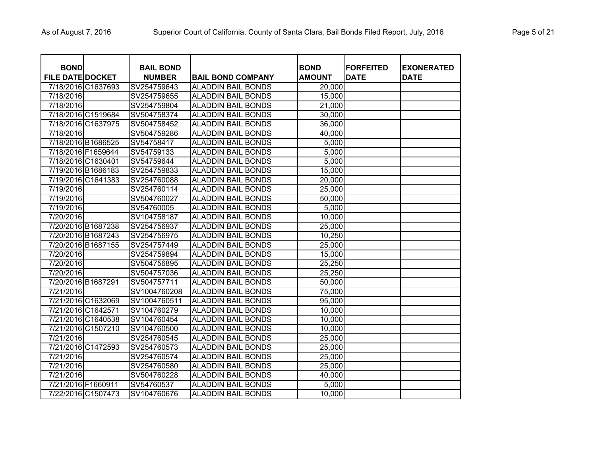| <b>BOND</b><br><b>FILE DATE DOCKET</b> |                    | <b>BAIL BOND</b><br><b>NUMBER</b> | <b>BAIL BOND COMPANY</b>  | <b>BOND</b><br><b>AMOUNT</b> | <b>FORFEITED</b><br><b>DATE</b> | <b>EXONERATED</b><br><b>DATE</b> |
|----------------------------------------|--------------------|-----------------------------------|---------------------------|------------------------------|---------------------------------|----------------------------------|
|                                        | 7/18/2016 C1637693 | SV254759643                       | <b>ALADDIN BAIL BONDS</b> | 20,000                       |                                 |                                  |
| 7/18/2016                              |                    | SV254759655                       | <b>ALADDIN BAIL BONDS</b> | 15,000                       |                                 |                                  |
| 7/18/2016                              |                    | SV254759804                       | <b>ALADDIN BAIL BONDS</b> | 21,000                       |                                 |                                  |
|                                        | 7/18/2016 C1519684 | SV504758374                       | <b>ALADDIN BAIL BONDS</b> | 30,000                       |                                 |                                  |
|                                        | 7/18/2016 C1637975 | SV504758452                       | <b>ALADDIN BAIL BONDS</b> | 36,000                       |                                 |                                  |
| 7/18/2016                              |                    | SV504759286                       | <b>ALADDIN BAIL BONDS</b> | 40,000                       |                                 |                                  |
| 7/18/2016 B1686525                     |                    | SV54758417                        | ALADDIN BAIL BONDS        | 5,000                        |                                 |                                  |
| 7/18/2016 F1659644                     |                    | SV54759133                        | ALADDIN BAIL BONDS        | 5,000                        |                                 |                                  |
| 7/18/2016 C1630401                     |                    | SV54759644                        | <b>ALADDIN BAIL BONDS</b> | 5,000                        |                                 |                                  |
| 7/19/2016 B1686183                     |                    | SV254759833                       | ALADDIN BAIL BONDS        | 15,000                       |                                 |                                  |
|                                        | 7/19/2016 C1641383 | SV254760088                       | <b>ALADDIN BAIL BONDS</b> | 20,000                       |                                 |                                  |
| 7/19/2016                              |                    | SV254760114                       | <b>ALADDIN BAIL BONDS</b> | 25,000                       |                                 |                                  |
| 7/19/2016                              |                    | SV504760027                       | ALADDIN BAIL BONDS        | 50,000                       |                                 |                                  |
| 7/19/2016                              |                    | SV54760005                        | ALADDIN BAIL BONDS        | 5,000                        |                                 |                                  |
| 7/20/2016                              |                    | SV104758187                       | <b>ALADDIN BAIL BONDS</b> | 10,000                       |                                 |                                  |
| 7/20/2016 B1687238                     |                    | SV254756937                       | <b>ALADDIN BAIL BONDS</b> | 25,000                       |                                 |                                  |
|                                        | 7/20/2016 B1687243 | SV254756975                       | <b>ALADDIN BAIL BONDS</b> | 10,250                       |                                 |                                  |
|                                        | 7/20/2016 B1687155 | SV254757449                       | <b>ALADDIN BAIL BONDS</b> | 25,000                       |                                 |                                  |
| 7/20/2016                              |                    | SV254759894                       | <b>ALADDIN BAIL BONDS</b> | 15,000                       |                                 |                                  |
| 7/20/2016                              |                    | SV504756895                       | <b>ALADDIN BAIL BONDS</b> | 25,250                       |                                 |                                  |
| 7/20/2016                              |                    | SV504757036                       | <b>ALADDIN BAIL BONDS</b> | 25,250                       |                                 |                                  |
| 7/20/2016 B1687291                     |                    | SV504757711                       | <b>ALADDIN BAIL BONDS</b> | 50,000                       |                                 |                                  |
| 7/21/2016                              |                    | SV1004760208                      | <b>ALADDIN BAIL BONDS</b> | 75,000                       |                                 |                                  |
|                                        | 7/21/2016 C1632069 | SV1004760511                      | <b>ALADDIN BAIL BONDS</b> | 95,000                       |                                 |                                  |
| 7/21/2016 C1642571                     |                    | SV104760279                       | <b>ALADDIN BAIL BONDS</b> | 10,000                       |                                 |                                  |
|                                        | 7/21/2016 C1640538 | SV104760454                       | <b>ALADDIN BAIL BONDS</b> | 10,000                       |                                 |                                  |
|                                        | 7/21/2016 C1507210 | SV104760500                       | <b>ALADDIN BAIL BONDS</b> | 10,000                       |                                 |                                  |
| 7/21/2016                              |                    | SV254760545                       | <b>ALADDIN BAIL BONDS</b> | 25,000                       |                                 |                                  |
|                                        | 7/21/2016 C1472593 | SV254760573                       | <b>ALADDIN BAIL BONDS</b> | 25,000                       |                                 |                                  |
| 7/21/2016                              |                    | SV254760574                       | <b>ALADDIN BAIL BONDS</b> | 25,000                       |                                 |                                  |
| 7/21/2016                              |                    | SV254760580                       | <b>ALADDIN BAIL BONDS</b> | 25,000                       |                                 |                                  |
| 7/21/2016                              |                    | SV504760228                       | <b>ALADDIN BAIL BONDS</b> | 40,000                       |                                 |                                  |
| 7/21/2016 F1660911                     |                    | SV54760537                        | <b>ALADDIN BAIL BONDS</b> | 5,000                        |                                 |                                  |
|                                        | 7/22/2016 C1507473 | SV104760676                       | <b>ALADDIN BAIL BONDS</b> | 10,000                       |                                 |                                  |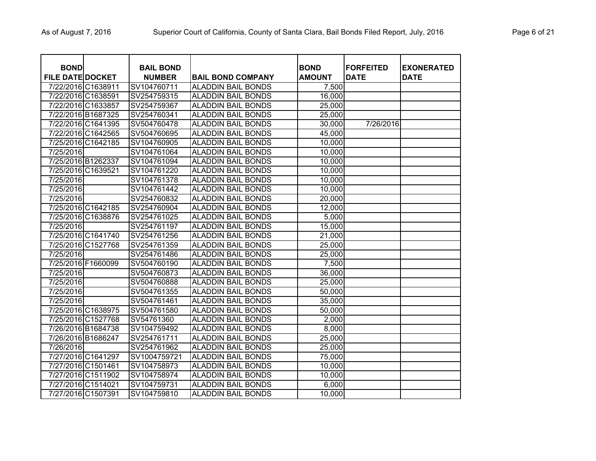| <b>BOND</b><br><b>FILE DATE DOCKET</b> | <b>BAIL BOND</b><br><b>NUMBER</b> | <b>BAIL BOND COMPANY</b>  | <b>BOND</b><br><b>AMOUNT</b> | <b>FORFEITED</b><br><b>DATE</b> | <b>IEXONERATED</b><br><b>DATE</b> |
|----------------------------------------|-----------------------------------|---------------------------|------------------------------|---------------------------------|-----------------------------------|
| 7/22/2016 C1638911                     | SV104760711                       | <b>ALADDIN BAIL BONDS</b> | 7,500                        |                                 |                                   |
| 7/22/2016 C1638591                     | SV254759315                       | <b>ALADDIN BAIL BONDS</b> | 16,000                       |                                 |                                   |
| 7/22/2016 C1633857                     | SV254759367                       | <b>ALADDIN BAIL BONDS</b> | 25,000                       |                                 |                                   |
| 7/22/2016 B1687325                     | SV254760341                       | <b>ALADDIN BAIL BONDS</b> | 25,000                       |                                 |                                   |
| 7/22/2016 C1641395                     | SV504760478                       | <b>ALADDIN BAIL BONDS</b> | 30,000                       | 7/26/2016                       |                                   |
| 7/22/2016 C1642565                     | SV504760695                       | <b>ALADDIN BAIL BONDS</b> | 45,000                       |                                 |                                   |
| 7/25/2016 C1642185                     | SV104760905                       | <b>ALADDIN BAIL BONDS</b> | 10,000                       |                                 |                                   |
| 7/25/2016                              | SV104761064                       | <b>ALADDIN BAIL BONDS</b> | 10,000                       |                                 |                                   |
| 7/25/2016 B1262337                     | SV104761094                       | <b>ALADDIN BAIL BONDS</b> | 10,000                       |                                 |                                   |
| 7/25/2016 C1639521                     | SV104761220                       | <b>ALADDIN BAIL BONDS</b> | 10,000                       |                                 |                                   |
| 7/25/2016                              | SV104761378                       | <b>ALADDIN BAIL BONDS</b> | 10,000                       |                                 |                                   |
| 7/25/2016                              | SV104761442                       | <b>ALADDIN BAIL BONDS</b> | 10,000                       |                                 |                                   |
| 7/25/2016                              | SV254760832                       | <b>ALADDIN BAIL BONDS</b> | 20,000                       |                                 |                                   |
| 7/25/2016 C1642185                     | SV254760904                       | <b>ALADDIN BAIL BONDS</b> | 12,000                       |                                 |                                   |
| 7/25/2016 C1638876                     | SV254761025                       | <b>ALADDIN BAIL BONDS</b> | 5,000                        |                                 |                                   |
| 7/25/2016                              | SV254761197                       | <b>ALADDIN BAIL BONDS</b> | 15,000                       |                                 |                                   |
| 7/25/2016 C1641740                     | SV254761256                       | <b>ALADDIN BAIL BONDS</b> | 21,000                       |                                 |                                   |
| 7/25/2016 C1527768                     | SV254761359                       | <b>ALADDIN BAIL BONDS</b> | 25,000                       |                                 |                                   |
| 7/25/2016                              | SV254761486                       | <b>ALADDIN BAIL BONDS</b> | 25,000                       |                                 |                                   |
| 7/25/2016 F1660099                     | SV504760190                       | <b>ALADDIN BAIL BONDS</b> | 7,500                        |                                 |                                   |
| 7/25/2016                              | SV504760873                       | <b>ALADDIN BAIL BONDS</b> | 36,000                       |                                 |                                   |
| 7/25/2016                              | SV504760888                       | <b>ALADDIN BAIL BONDS</b> | 25,000                       |                                 |                                   |
| 7/25/2016                              | SV504761355                       | <b>ALADDIN BAIL BONDS</b> | 50,000                       |                                 |                                   |
| 7/25/2016                              | SV504761461                       | <b>ALADDIN BAIL BONDS</b> | 35,000                       |                                 |                                   |
| 7/25/2016 C1638975                     | SV504761580                       | <b>ALADDIN BAIL BONDS</b> | 50,000                       |                                 |                                   |
| 7/25/2016 C1527768                     | SV54761360                        | <b>ALADDIN BAIL BONDS</b> | 2,000                        |                                 |                                   |
| 7/26/2016 B1684738                     | SV104759492                       | <b>ALADDIN BAIL BONDS</b> | 8,000                        |                                 |                                   |
| 7/26/2016 B1686247                     | SV254761711                       | <b>ALADDIN BAIL BONDS</b> | 25,000                       |                                 |                                   |
| 7/26/2016                              | SV254761962                       | <b>ALADDIN BAIL BONDS</b> | 25,000                       |                                 |                                   |
| 7/27/2016 C1641297                     | SV1004759721                      | <b>ALADDIN BAIL BONDS</b> | 75,000                       |                                 |                                   |
| 7/27/2016 C1501461                     | SV104758973                       | <b>ALADDIN BAIL BONDS</b> | 10,000                       |                                 |                                   |
| 7/27/2016 C1511902                     | SV104758974                       | <b>ALADDIN BAIL BONDS</b> | 10,000                       |                                 |                                   |
| 7/27/2016 C1514021                     | SV104759731                       | <b>ALADDIN BAIL BONDS</b> | 6,000                        |                                 |                                   |
| 7/27/2016 C1507391                     | SV104759810                       | <b>ALADDIN BAIL BONDS</b> | 10,000                       |                                 |                                   |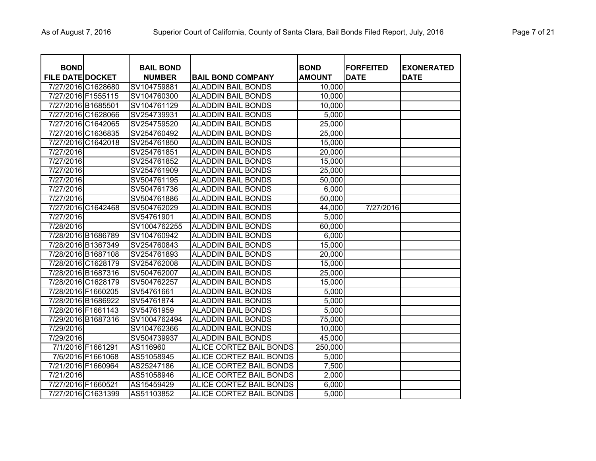| <b>BOND</b>             |                    | <b>BAIL BOND</b> |                                | <b>BOND</b>   | <b>FORFEITED</b> | <b>EXONERATED</b> |
|-------------------------|--------------------|------------------|--------------------------------|---------------|------------------|-------------------|
| <b>FILE DATE DOCKET</b> |                    | <b>NUMBER</b>    | <b>BAIL BOND COMPANY</b>       | <b>AMOUNT</b> | <b>DATE</b>      | <b>DATE</b>       |
|                         | 7/27/2016 C1628680 | SV104759881      | <b>ALADDIN BAIL BONDS</b>      | 10,000        |                  |                   |
| 7/27/2016 F1555115      |                    | SV104760300      | <b>ALADDIN BAIL BONDS</b>      | 10,000        |                  |                   |
| 7/27/2016 B1685501      |                    | SV104761129      | <b>ALADDIN BAIL BONDS</b>      | 10,000        |                  |                   |
|                         | 7/27/2016 C1628066 | SV254739931      | <b>ALADDIN BAIL BONDS</b>      | 5,000         |                  |                   |
|                         | 7/27/2016 C1642065 | SV254759520      | <b>ALADDIN BAIL BONDS</b>      | 25,000        |                  |                   |
|                         | 7/27/2016 C1636835 | SV254760492      | <b>ALADDIN BAIL BONDS</b>      | 25,000        |                  |                   |
|                         | 7/27/2016 C1642018 | SV254761850      | <b>ALADDIN BAIL BONDS</b>      | 15,000        |                  |                   |
| 7/27/2016               |                    | SV254761851      | <b>ALADDIN BAIL BONDS</b>      | 20,000        |                  |                   |
| 7/27/2016               |                    | SV254761852      | <b>ALADDIN BAIL BONDS</b>      | 15,000        |                  |                   |
| 7/27/2016               |                    | SV254761909      | <b>ALADDIN BAIL BONDS</b>      | 25,000        |                  |                   |
| 7/27/2016               |                    | SV504761195      | <b>ALADDIN BAIL BONDS</b>      | 50,000        |                  |                   |
| 7/27/2016               |                    | SV504761736      | <b>ALADDIN BAIL BONDS</b>      | 6,000         |                  |                   |
| 7/27/2016               |                    | SV504761886      | <b>ALADDIN BAIL BONDS</b>      | 50,000        |                  |                   |
|                         | 7/27/2016 C1642468 | SV504762029      | <b>ALADDIN BAIL BONDS</b>      | 44,000        | 7/27/2016        |                   |
| 7/27/2016               |                    | SV54761901       | <b>ALADDIN BAIL BONDS</b>      | 5,000         |                  |                   |
| 7/28/2016               |                    | SV1004762255     | <b>ALADDIN BAIL BONDS</b>      | 60,000        |                  |                   |
| 7/28/2016 B1686789      |                    | SV104760942      | <b>ALADDIN BAIL BONDS</b>      | 6,000         |                  |                   |
| 7/28/2016 B1367349      |                    | SV254760843      | <b>ALADDIN BAIL BONDS</b>      | 15,000        |                  |                   |
| 7/28/2016 B1687108      |                    | SV254761893      | <b>ALADDIN BAIL BONDS</b>      | 20,000        |                  |                   |
|                         | 7/28/2016 C1628179 | SV254762008      | <b>ALADDIN BAIL BONDS</b>      | 15,000        |                  |                   |
| 7/28/2016 B1687316      |                    | SV504762007      | <b>ALADDIN BAIL BONDS</b>      | 25,000        |                  |                   |
|                         | 7/28/2016 C1628179 | SV504762257      | <b>ALADDIN BAIL BONDS</b>      | 15,000        |                  |                   |
| 7/28/2016 F1660205      |                    | SV54761661       | <b>ALADDIN BAIL BONDS</b>      | 5,000         |                  |                   |
| 7/28/2016 B1686922      |                    | SV54761874       | <b>ALADDIN BAIL BONDS</b>      | 5,000         |                  |                   |
| 7/28/2016 F1661143      |                    | SV54761959       | <b>ALADDIN BAIL BONDS</b>      | 5,000         |                  |                   |
| 7/29/2016 B1687316      |                    | SV1004762494     | <b>ALADDIN BAIL BONDS</b>      | 75,000        |                  |                   |
| 7/29/2016               |                    | SV104762366      | <b>ALADDIN BAIL BONDS</b>      | 10,000        |                  |                   |
| 7/29/2016               |                    | SV504739937      | <b>ALADDIN BAIL BONDS</b>      | 45,000        |                  |                   |
|                         | 7/1/2016 F1661291  | AS116960         | ALICE CORTEZ BAIL BONDS        | 250,000       |                  |                   |
|                         | 7/6/2016 F1661068  | AS51058945       | <b>ALICE CORTEZ BAIL BONDS</b> | 5,000         |                  |                   |
| 7/21/2016 F1660964      |                    | AS25247186       | ALICE CORTEZ BAIL BONDS        | 7,500         |                  |                   |
| 7/21/2016               |                    | AS51058946       | ALICE CORTEZ BAIL BONDS        | 2,000         |                  |                   |
| 7/27/2016 F1660521      |                    | AS15459429       | ALICE CORTEZ BAIL BONDS        | 6,000         |                  |                   |
|                         | 7/27/2016 C1631399 | AS51103852       | ALICE CORTEZ BAIL BONDS        | 5,000         |                  |                   |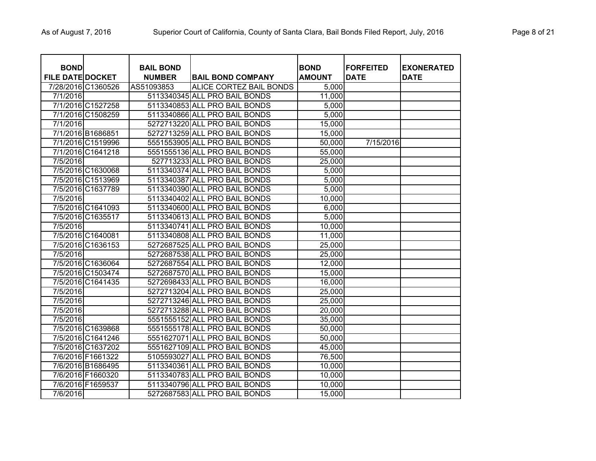| <b>BOND</b>             |                   | <b>BAIL BOND</b> |                                | <b>BOND</b>   | <b>FORFEITED</b> | <b>EXONERATED</b> |
|-------------------------|-------------------|------------------|--------------------------------|---------------|------------------|-------------------|
| <b>FILE DATE DOCKET</b> |                   | <b>NUMBER</b>    | <b>BAIL BOND COMPANY</b>       | <b>AMOUNT</b> | <b>DATE</b>      | <b>DATE</b>       |
| 7/28/2016 C1360526      |                   | AS51093853       | <b>ALICE CORTEZ BAIL BONDS</b> | 5,000         |                  |                   |
| 7/1/2016                |                   |                  | 5113340345 ALL PRO BAIL BONDS  | 11,000        |                  |                   |
|                         | 7/1/2016 C1527258 |                  | 5113340853 ALL PRO BAIL BONDS  | 5,000         |                  |                   |
|                         | 7/1/2016 C1508259 |                  | 5113340866 ALL PRO BAIL BONDS  | 5,000         |                  |                   |
| 7/1/2016                |                   |                  | 5272713220 ALL PRO BAIL BONDS  | 15,000        |                  |                   |
|                         | 7/1/2016 B1686851 |                  | 5272713259 ALL PRO BAIL BONDS  | 15,000        |                  |                   |
|                         | 7/1/2016 C1519996 |                  | 5551553905 ALL PRO BAIL BONDS  | 50,000        | 7/15/2016        |                   |
|                         | 7/1/2016 C1641218 |                  | 5551555136 ALL PRO BAIL BONDS  | 55,000        |                  |                   |
| 7/5/2016                |                   |                  | 527713233 ALL PRO BAIL BONDS   | 25,000        |                  |                   |
|                         | 7/5/2016 C1630068 |                  | 5113340374 ALL PRO BAIL BONDS  | 5,000         |                  |                   |
|                         | 7/5/2016 C1513969 |                  | 5113340387 ALL PRO BAIL BONDS  | 5,000         |                  |                   |
|                         | 7/5/2016 C1637789 |                  | 5113340390 ALL PRO BAIL BONDS  | 5,000         |                  |                   |
| 7/5/2016                |                   |                  | 5113340402 ALL PRO BAIL BONDS  | 10,000        |                  |                   |
|                         | 7/5/2016 C1641093 |                  | 5113340600 ALL PRO BAIL BONDS  | 6,000         |                  |                   |
|                         | 7/5/2016 C1635517 |                  | 5113340613 ALL PRO BAIL BONDS  | 5,000         |                  |                   |
| 7/5/2016                |                   |                  | 5113340741 ALL PRO BAIL BONDS  | 10,000        |                  |                   |
|                         | 7/5/2016 C1640081 |                  | 5113340808 ALL PRO BAIL BONDS  | 11,000        |                  |                   |
|                         | 7/5/2016 C1636153 |                  | 5272687525 ALL PRO BAIL BONDS  | 25,000        |                  |                   |
| 7/5/2016                |                   |                  | 5272687538 ALL PRO BAIL BONDS  | 25,000        |                  |                   |
|                         | 7/5/2016 C1636064 |                  | 5272687554 ALL PRO BAIL BONDS  | 12,000        |                  |                   |
|                         | 7/5/2016 C1503474 |                  | 5272687570 ALL PRO BAIL BONDS  | 15,000        |                  |                   |
|                         | 7/5/2016 C1641435 |                  | 5272698433 ALL PRO BAIL BONDS  | 16,000        |                  |                   |
| 7/5/2016                |                   |                  | 5272713204 ALL PRO BAIL BONDS  | 25,000        |                  |                   |
| 7/5/2016                |                   |                  | 5272713246 ALL PRO BAIL BONDS  | 25,000        |                  |                   |
| 7/5/2016                |                   |                  | 5272713288 ALL PRO BAIL BONDS  | 20,000        |                  |                   |
| 7/5/2016                |                   |                  | 5551555152 ALL PRO BAIL BONDS  | 35,000        |                  |                   |
|                         | 7/5/2016 C1639868 |                  | 5551555178 ALL PRO BAIL BONDS  | 50,000        |                  |                   |
|                         | 7/5/2016 C1641246 |                  | 5551627071 ALL PRO BAIL BONDS  | 50,000        |                  |                   |
|                         | 7/5/2016 C1637202 |                  | 5551627109 ALL PRO BAIL BONDS  | 45,000        |                  |                   |
|                         | 7/6/2016 F1661322 |                  | 5105593027 ALL PRO BAIL BONDS  | 76,500        |                  |                   |
|                         | 7/6/2016 B1686495 |                  | 5113340361 ALL PRO BAIL BONDS  | 10,000        |                  |                   |
|                         | 7/6/2016 F1660320 |                  | 5113340783 ALL PRO BAIL BONDS  | 10,000        |                  |                   |
|                         | 7/6/2016 F1659537 |                  | 5113340796 ALL PRO BAIL BONDS  | 10,000        |                  |                   |
| 7/6/2016                |                   |                  | 5272687583 ALL PRO BAIL BONDS  | 15,000        |                  |                   |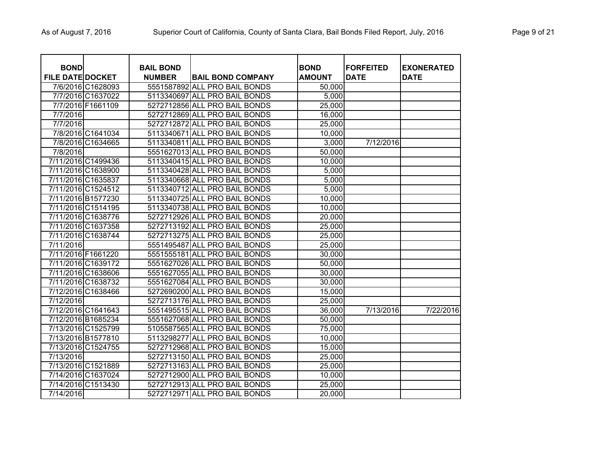| <b>BOND</b>             |                   | <b>BAIL BOND</b> |                               | <b>BOND</b>   | <b>FORFEITED</b> | <b>EXONERATED</b> |
|-------------------------|-------------------|------------------|-------------------------------|---------------|------------------|-------------------|
| <b>FILE DATE DOCKET</b> |                   | <b>NUMBER</b>    | <b>BAIL BOND COMPANY</b>      | <b>AMOUNT</b> | <b>DATE</b>      | <b>DATE</b>       |
|                         | 7/6/2016 C1628093 |                  | 5551587892 ALL PRO BAIL BONDS | 50,000        |                  |                   |
|                         | 7/7/2016 C1637022 |                  | 5113340697 ALL PRO BAIL BONDS | 5,000         |                  |                   |
|                         | 7/7/2016 F1661109 |                  | 5272712856 ALL PRO BAIL BONDS | 25,000        |                  |                   |
| 7/7/2016                |                   |                  | 5272712869 ALL PRO BAIL BONDS | 16,000        |                  |                   |
| 7/7/2016                |                   |                  | 5272712872 ALL PRO BAIL BONDS | 25,000        |                  |                   |
|                         | 7/8/2016 C1641034 |                  | 5113340671 ALL PRO BAIL BONDS | 10,000        |                  |                   |
|                         | 7/8/2016 C1634665 |                  | 5113340811 ALL PRO BAIL BONDS | 3,000         | 7/12/2016        |                   |
| 7/8/2016                |                   |                  | 5551627013 ALL PRO BAIL BONDS | 50,000        |                  |                   |
| 7/11/2016 C1499436      |                   |                  | 5113340415 ALL PRO BAIL BONDS | 10,000        |                  |                   |
| 7/11/2016 C1638900      |                   |                  | 5113340428 ALL PRO BAIL BONDS | 5,000         |                  |                   |
| 7/11/2016 C1635837      |                   |                  | 5113340668 ALL PRO BAIL BONDS | 5,000         |                  |                   |
| 7/11/2016 C1524512      |                   |                  | 5113340712 ALL PRO BAIL BONDS | 5,000         |                  |                   |
| 7/11/2016 B1577230      |                   |                  | 5113340725 ALL PRO BAIL BONDS | 10,000        |                  |                   |
| 7/11/2016 C1514195      |                   |                  | 5113340738 ALL PRO BAIL BONDS | 10,000        |                  |                   |
| 7/11/2016 C1638776      |                   |                  | 5272712926 ALL PRO BAIL BONDS | 20,000        |                  |                   |
| 7/11/2016 C1637358      |                   |                  | 5272713192 ALL PRO BAIL BONDS | 25,000        |                  |                   |
| 7/11/2016 C1638744      |                   |                  | 5272713275 ALL PRO BAIL BONDS | 25,000        |                  |                   |
| 7/11/2016               |                   |                  | 5551495487 ALL PRO BAIL BONDS | 25,000        |                  |                   |
| 7/11/2016 F1661220      |                   |                  | 5551555181 ALL PRO BAIL BONDS | 30,000        |                  |                   |
| 7/11/2016 C1639172      |                   |                  | 5551627026 ALL PRO BAIL BONDS | 50,000        |                  |                   |
| 7/11/2016 C1638606      |                   |                  | 5551627055 ALL PRO BAIL BONDS | 30,000        |                  |                   |
| 7/11/2016 C1638732      |                   |                  | 5551627084 ALL PRO BAIL BONDS | 30,000        |                  |                   |
| 7/12/2016 C1638466      |                   |                  | 5272690200 ALL PRO BAIL BONDS | 15,000        |                  |                   |
| 7/12/2016               |                   |                  | 5272713176 ALL PRO BAIL BONDS | 25,000        |                  |                   |
| 7/12/2016 C1641643      |                   |                  | 5551495515 ALL PRO BAIL BONDS | 36,000        | 7/13/2016        | 7/22/2016         |
| 7/12/2016 B1685234      |                   |                  | 5551627068 ALL PRO BAIL BONDS | 50,000        |                  |                   |
| 7/13/2016 C1525799      |                   |                  | 5105587565 ALL PRO BAIL BONDS | 75,000        |                  |                   |
| 7/13/2016 B1577810      |                   |                  | 5113298277 ALL PRO BAIL BONDS | 10,000        |                  |                   |
| 7/13/2016 C1524755      |                   |                  | 5272712968 ALL PRO BAIL BONDS | 15,000        |                  |                   |
| 7/13/2016               |                   |                  | 5272713150 ALL PRO BAIL BONDS | 25,000        |                  |                   |
| 7/13/2016 C1521889      |                   |                  | 5272713163 ALL PRO BAIL BONDS | 25,000        |                  |                   |
| 7/14/2016 C1637024      |                   |                  | 5272712900 ALL PRO BAIL BONDS | 10,000        |                  |                   |
| 7/14/2016 C1513430      |                   |                  | 5272712913 ALL PRO BAIL BONDS | 25,000        |                  |                   |
| 7/14/2016               |                   |                  | 5272712971 ALL PRO BAIL BONDS | 20,000        |                  |                   |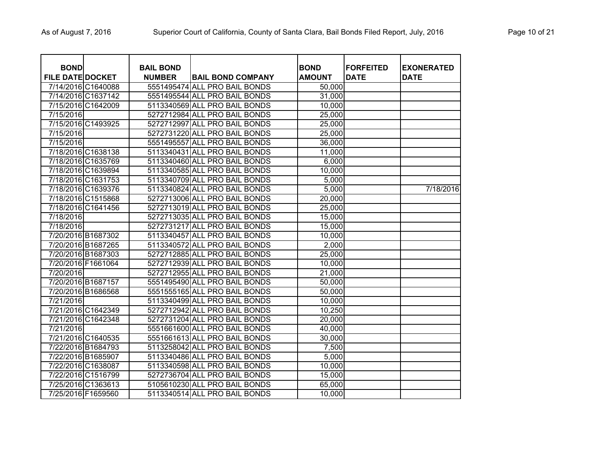| <b>BOND</b>             |                    | <b>BAIL BOND</b> |                               | <b>BOND</b>   | <b>FORFEITED</b> | <b>EXONERATED</b> |
|-------------------------|--------------------|------------------|-------------------------------|---------------|------------------|-------------------|
| <b>FILE DATE DOCKET</b> |                    | <b>NUMBER</b>    | <b>BAIL BOND COMPANY</b>      | <b>AMOUNT</b> | <b>DATE</b>      | <b>DATE</b>       |
|                         | 7/14/2016 C1640088 |                  | 5551495474 ALL PRO BAIL BONDS | 50,000        |                  |                   |
|                         | 7/14/2016 C1637142 |                  | 5551495544 ALL PRO BAIL BONDS | 31,000        |                  |                   |
|                         | 7/15/2016 C1642009 |                  | 5113340569 ALL PRO BAIL BONDS | 10,000        |                  |                   |
| 7/15/2016               |                    |                  | 5272712984 ALL PRO BAIL BONDS | 25,000        |                  |                   |
|                         | 7/15/2016 C1493925 |                  | 5272712997 ALL PRO BAIL BONDS | 25,000        |                  |                   |
| 7/15/2016               |                    |                  | 5272731220 ALL PRO BAIL BONDS | 25,000        |                  |                   |
| 7/15/2016               |                    |                  | 5551495557 ALL PRO BAIL BONDS | 36,000        |                  |                   |
|                         | 7/18/2016 C1638138 |                  | 5113340431 ALL PRO BAIL BONDS | 11,000        |                  |                   |
|                         | 7/18/2016 C1635769 |                  | 5113340460 ALL PRO BAIL BONDS | 6,000         |                  |                   |
|                         | 7/18/2016 C1639894 |                  | 5113340585 ALL PRO BAIL BONDS | 10,000        |                  |                   |
|                         | 7/18/2016 C1631753 |                  | 5113340709 ALL PRO BAIL BONDS | 5,000         |                  |                   |
|                         | 7/18/2016 C1639376 |                  | 5113340824 ALL PRO BAIL BONDS | 5,000         |                  | 7/18/2016         |
|                         | 7/18/2016 C1515868 |                  | 5272713006 ALL PRO BAIL BONDS | 20,000        |                  |                   |
|                         | 7/18/2016 C1641456 |                  | 5272713019 ALL PRO BAIL BONDS | 25,000        |                  |                   |
| 7/18/2016               |                    |                  | 5272713035 ALL PRO BAIL BONDS | 15,000        |                  |                   |
| 7/18/2016               |                    |                  | 5272731217 ALL PRO BAIL BONDS | 15,000        |                  |                   |
|                         | 7/20/2016 B1687302 |                  | 5113340457 ALL PRO BAIL BONDS | 10,000        |                  |                   |
|                         | 7/20/2016 B1687265 |                  | 5113340572 ALL PRO BAIL BONDS | 2,000         |                  |                   |
|                         | 7/20/2016 B1687303 |                  | 5272712885 ALL PRO BAIL BONDS | 25,000        |                  |                   |
|                         | 7/20/2016 F1661064 |                  | 5272712939 ALL PRO BAIL BONDS | 10,000        |                  |                   |
| 7/20/2016               |                    |                  | 5272712955 ALL PRO BAIL BONDS | 21,000        |                  |                   |
|                         | 7/20/2016 B1687157 |                  | 5551495490 ALL PRO BAIL BONDS | 50,000        |                  |                   |
|                         | 7/20/2016 B1686568 |                  | 5551555165 ALL PRO BAIL BONDS | 50,000        |                  |                   |
| 7/21/2016               |                    |                  | 5113340499 ALL PRO BAIL BONDS | 10,000        |                  |                   |
|                         | 7/21/2016 C1642349 |                  | 5272712942 ALL PRO BAIL BONDS | 10,250        |                  |                   |
|                         | 7/21/2016 C1642348 |                  | 5272731204 ALL PRO BAIL BONDS | 20,000        |                  |                   |
| 7/21/2016               |                    |                  | 5551661600 ALL PRO BAIL BONDS | 40,000        |                  |                   |
|                         | 7/21/2016 C1640535 |                  | 5551661613 ALL PRO BAIL BONDS | 30,000        |                  |                   |
|                         | 7/22/2016 B1684793 |                  | 5113258042 ALL PRO BAIL BONDS | 7,500         |                  |                   |
| 7/22/2016 B1685907      |                    |                  | 5113340486 ALL PRO BAIL BONDS | 5,000         |                  |                   |
|                         | 7/22/2016 C1638087 |                  | 5113340598 ALL PRO BAIL BONDS | 10,000        |                  |                   |
|                         | 7/22/2016 C1516799 |                  | 5272736704 ALL PRO BAIL BONDS | 15,000        |                  |                   |
|                         | 7/25/2016 C1363613 |                  | 5105610230 ALL PRO BAIL BONDS | 65,000        |                  |                   |
|                         | 7/25/2016 F1659560 |                  | 5113340514 ALL PRO BAIL BONDS | 10,000        |                  |                   |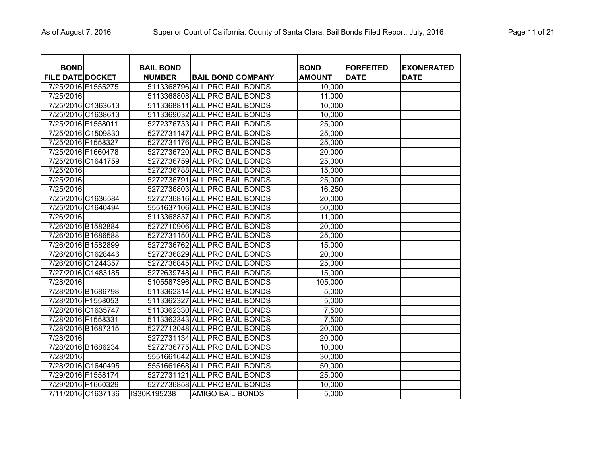| <b>BOND</b><br><b>FILE DATE DOCKET</b> |                    | <b>BAIL BOND</b><br><b>NUMBER</b> | <b>BAIL BOND COMPANY</b>      | <b>BOND</b><br><b>AMOUNT</b> | <b>FORFEITED</b><br><b>DATE</b> | <b>EXONERATED</b><br><b>DATE</b> |
|----------------------------------------|--------------------|-----------------------------------|-------------------------------|------------------------------|---------------------------------|----------------------------------|
| 7/25/2016 F1555275                     |                    |                                   | 5113368796 ALL PRO BAIL BONDS | 10,000                       |                                 |                                  |
| 7/25/2016                              |                    |                                   | 5113368808 ALL PRO BAIL BONDS | 11,000                       |                                 |                                  |
|                                        | 7/25/2016 C1363613 |                                   | 5113368811 ALL PRO BAIL BONDS | 10,000                       |                                 |                                  |
|                                        | 7/25/2016 C1638613 |                                   | 5113369032 ALL PRO BAIL BONDS | 10,000                       |                                 |                                  |
| 7/25/2016 F1558011                     |                    |                                   | 5272376733 ALL PRO BAIL BONDS | 25,000                       |                                 |                                  |
|                                        | 7/25/2016 C1509830 |                                   | 5272731147 ALL PRO BAIL BONDS | 25,000                       |                                 |                                  |
| 7/25/2016 F1558327                     |                    |                                   | 5272731176 ALL PRO BAIL BONDS | 25,000                       |                                 |                                  |
| 7/25/2016 F1660478                     |                    |                                   | 5272736720 ALL PRO BAIL BONDS | 20,000                       |                                 |                                  |
|                                        | 7/25/2016 C1641759 |                                   | 5272736759 ALL PRO BAIL BONDS | 25,000                       |                                 |                                  |
| 7/25/2016                              |                    |                                   | 5272736788 ALL PRO BAIL BONDS | 15,000                       |                                 |                                  |
| 7/25/2016                              |                    |                                   | 5272736791 ALL PRO BAIL BONDS | 25,000                       |                                 |                                  |
| 7/25/2016                              |                    |                                   | 5272736803 ALL PRO BAIL BONDS | 16,250                       |                                 |                                  |
|                                        | 7/25/2016 C1636584 |                                   | 5272736816 ALL PRO BAIL BONDS | 20,000                       |                                 |                                  |
|                                        | 7/25/2016 C1640494 |                                   | 5551637106 ALL PRO BAIL BONDS | 50,000                       |                                 |                                  |
| 7/26/2016                              |                    |                                   | 5113368837 ALL PRO BAIL BONDS | 11,000                       |                                 |                                  |
| 7/26/2016 B1582884                     |                    |                                   | 5272710906 ALL PRO BAIL BONDS | 20,000                       |                                 |                                  |
| 7/26/2016 B1686588                     |                    |                                   | 5272731150 ALL PRO BAIL BONDS | 25,000                       |                                 |                                  |
| 7/26/2016 B1582899                     |                    |                                   | 5272736762 ALL PRO BAIL BONDS | 15,000                       |                                 |                                  |
|                                        | 7/26/2016 C1628446 |                                   | 5272736829 ALL PRO BAIL BONDS | 20,000                       |                                 |                                  |
|                                        | 7/26/2016 C1244357 |                                   | 5272736845 ALL PRO BAIL BONDS | 25,000                       |                                 |                                  |
|                                        | 7/27/2016 C1483185 |                                   | 5272639748 ALL PRO BAIL BONDS | 15,000                       |                                 |                                  |
| 7/28/2016                              |                    |                                   | 5105587396 ALL PRO BAIL BONDS | 105,000                      |                                 |                                  |
| 7/28/2016 B1686798                     |                    |                                   | 5113362314 ALL PRO BAIL BONDS | 5,000                        |                                 |                                  |
| 7/28/2016 F1558053                     |                    |                                   | 5113362327 ALL PRO BAIL BONDS | 5,000                        |                                 |                                  |
| 7/28/2016 C1635747                     |                    |                                   | 5113362330 ALL PRO BAIL BONDS | 7,500                        |                                 |                                  |
| 7/28/2016 F1558331                     |                    |                                   | 5113362343 ALL PRO BAIL BONDS | 7,500                        |                                 |                                  |
| 7/28/2016 B1687315                     |                    |                                   | 5272713048 ALL PRO BAIL BONDS | 20,000                       |                                 |                                  |
| 7/28/2016                              |                    |                                   | 5272731134 ALL PRO BAIL BONDS | 20,000                       |                                 |                                  |
| 7/28/2016 B1686234                     |                    |                                   | 5272736775 ALL PRO BAIL BONDS | 10,000                       |                                 |                                  |
| 7/28/2016                              |                    |                                   | 5551661642 ALL PRO BAIL BONDS | 30,000                       |                                 |                                  |
|                                        | 7/28/2016 C1640495 |                                   | 5551661668 ALL PRO BAIL BONDS | 50,000                       |                                 |                                  |
| 7/29/2016 F1558174                     |                    |                                   | 5272731121 ALL PRO BAIL BONDS | 25,000                       |                                 |                                  |
| 7/29/2016 F1660329                     |                    |                                   | 5272736858 ALL PRO BAIL BONDS | 10,000                       |                                 |                                  |
|                                        | 7/11/2016 C1637136 | IS30K195238                       | <b>AMIGO BAIL BONDS</b>       | 5,000                        |                                 |                                  |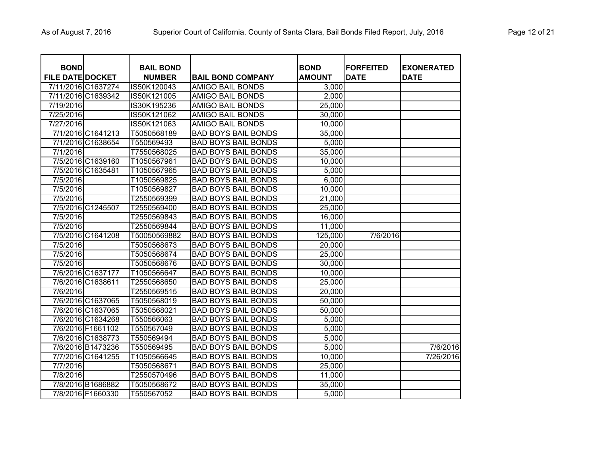| <b>BOND</b><br><b>FILE DATE DOCKET</b> |                    | <b>BAIL BOND</b><br><b>NUMBER</b> | <b>BAIL BOND COMPANY</b>   | <b>BOND</b><br><b>AMOUNT</b> | <b>FORFEITED</b><br><b>DATE</b> | <b>EXONERATED</b><br><b>DATE</b> |
|----------------------------------------|--------------------|-----------------------------------|----------------------------|------------------------------|---------------------------------|----------------------------------|
| 7/11/2016 C1637274                     |                    | IS50K120043                       | <b>AMIGO BAIL BONDS</b>    | 3,000                        |                                 |                                  |
|                                        | 7/11/2016 C1639342 | IS50K121005                       | <b>AMIGO BAIL BONDS</b>    | 2,000                        |                                 |                                  |
| 7/19/2016                              |                    | IS30K195236                       | <b>AMIGO BAIL BONDS</b>    | 25,000                       |                                 |                                  |
| 7/25/2016                              |                    | IS50K121062                       | <b>AMIGO BAIL BONDS</b>    | 30,000                       |                                 |                                  |
| 7/27/2016                              |                    | IS50K121063                       | <b>AMIGO BAIL BONDS</b>    | 10,000                       |                                 |                                  |
|                                        | 7/1/2016 C1641213  | T5050568189                       | <b>BAD BOYS BAIL BONDS</b> | 35,000                       |                                 |                                  |
|                                        | 7/1/2016 C1638654  | T550569493                        | <b>BAD BOYS BAIL BONDS</b> | 5,000                        |                                 |                                  |
| 7/1/2016                               |                    | T7550568025                       | <b>BAD BOYS BAIL BONDS</b> | 35,000                       |                                 |                                  |
|                                        | 7/5/2016 C1639160  | T1050567961                       | <b>BAD BOYS BAIL BONDS</b> | 10,000                       |                                 |                                  |
|                                        | 7/5/2016 C1635481  | T1050567965                       | <b>BAD BOYS BAIL BONDS</b> | 5,000                        |                                 |                                  |
| 7/5/2016                               |                    | T1050569825                       | <b>BAD BOYS BAIL BONDS</b> | 6,000                        |                                 |                                  |
| 7/5/2016                               |                    | T1050569827                       | <b>BAD BOYS BAIL BONDS</b> | 10,000                       |                                 |                                  |
| 7/5/2016                               |                    | T2550569399                       | <b>BAD BOYS BAIL BONDS</b> | 21,000                       |                                 |                                  |
|                                        | 7/5/2016 C1245507  | T2550569400                       | <b>BAD BOYS BAIL BONDS</b> | 25,000                       |                                 |                                  |
| $\overline{7/5}/2016$                  |                    | T2550569843                       | <b>BAD BOYS BAIL BONDS</b> | 16,000                       |                                 |                                  |
| 7/5/2016                               |                    | T2550569844                       | <b>BAD BOYS BAIL BONDS</b> | 11,000                       |                                 |                                  |
|                                        | 7/5/2016 C1641208  | T50050569882                      | <b>BAD BOYS BAIL BONDS</b> | 125,000                      | 7/6/2016                        |                                  |
| 7/5/2016                               |                    | T5050568673                       | <b>BAD BOYS BAIL BONDS</b> | 20,000                       |                                 |                                  |
| 7/5/2016                               |                    | T5050568674                       | <b>BAD BOYS BAIL BONDS</b> | 25,000                       |                                 |                                  |
| 7/5/2016                               |                    | T5050568676                       | <b>BAD BOYS BAIL BONDS</b> | 30,000                       |                                 |                                  |
|                                        | 7/6/2016 C1637177  | T1050566647                       | <b>BAD BOYS BAIL BONDS</b> | 10,000                       |                                 |                                  |
|                                        | 7/6/2016 C1638611  | T2550568650                       | <b>BAD BOYS BAIL BONDS</b> | 25,000                       |                                 |                                  |
| 7/6/2016                               |                    | T2550569515                       | <b>BAD BOYS BAIL BONDS</b> | 20,000                       |                                 |                                  |
|                                        | 7/6/2016 C1637065  | T5050568019                       | <b>BAD BOYS BAIL BONDS</b> | 50,000                       |                                 |                                  |
|                                        | 7/6/2016 C1637065  | T5050568021                       | <b>BAD BOYS BAIL BONDS</b> | 50,000                       |                                 |                                  |
|                                        | 7/6/2016 C1634268  | T550566063                        | <b>BAD BOYS BAIL BONDS</b> | 5,000                        |                                 |                                  |
|                                        | 7/6/2016 F1661102  | T550567049                        | <b>BAD BOYS BAIL BONDS</b> | 5,000                        |                                 |                                  |
|                                        | 7/6/2016 C1638773  | T550569494                        | <b>BAD BOYS BAIL BONDS</b> | 5,000                        |                                 |                                  |
|                                        | 7/6/2016 B1473236  | T550569495                        | <b>BAD BOYS BAIL BONDS</b> | 5,000                        |                                 | 7/6/2016                         |
|                                        | 7/7/2016 C1641255  | T1050566645                       | <b>BAD BOYS BAIL BONDS</b> | 10,000                       |                                 | 7/26/2016                        |
| 7/7/2016                               |                    | T5050568671                       | <b>BAD BOYS BAIL BONDS</b> | 25,000                       |                                 |                                  |
| 7/8/2016                               |                    | T2550570496                       | <b>BAD BOYS BAIL BONDS</b> | 11,000                       |                                 |                                  |
|                                        | 7/8/2016 B1686882  | T5050568672                       | <b>BAD BOYS BAIL BONDS</b> | 35,000                       |                                 |                                  |
|                                        | 7/8/2016 F1660330  | T550567052                        | <b>BAD BOYS BAIL BONDS</b> | 5,000                        |                                 |                                  |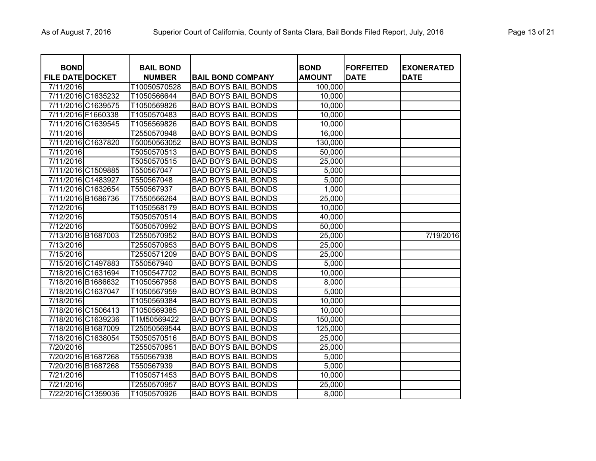| <b>BOND</b><br><b>FILE DATE DOCKET</b> |                    | <b>BAIL BOND</b><br><b>NUMBER</b> | <b>BAIL BOND COMPANY</b>   | <b>BOND</b><br><b>AMOUNT</b> | <b>FORFEITED</b><br><b>DATE</b> | <b>EXONERATED</b><br><b>DATE</b> |
|----------------------------------------|--------------------|-----------------------------------|----------------------------|------------------------------|---------------------------------|----------------------------------|
| 7/11/2016                              |                    | T10050570528                      | <b>BAD BOYS BAIL BONDS</b> | 100,000                      |                                 |                                  |
|                                        | 7/11/2016 C1635232 | T1050566644                       | <b>BAD BOYS BAIL BONDS</b> | 10,000                       |                                 |                                  |
|                                        | 7/11/2016 C1639575 | T1050569826                       | <b>BAD BOYS BAIL BONDS</b> | 10,000                       |                                 |                                  |
| 7/11/2016 F1660338                     |                    | T1050570483                       | <b>BAD BOYS BAIL BONDS</b> | 10,000                       |                                 |                                  |
|                                        | 7/11/2016 C1639545 | T1056569826                       | <b>BAD BOYS BAIL BONDS</b> | 10,000                       |                                 |                                  |
| 7/11/2016                              |                    | T2550570948                       | <b>BAD BOYS BAIL BONDS</b> | 16,000                       |                                 |                                  |
|                                        | 7/11/2016 C1637820 | T50050563052                      | <b>BAD BOYS BAIL BONDS</b> | 130,000                      |                                 |                                  |
| 7/11/2016                              |                    | T5050570513                       | <b>BAD BOYS BAIL BONDS</b> | 50,000                       |                                 |                                  |
| 7/11/2016                              |                    | T5050570515                       | <b>BAD BOYS BAIL BONDS</b> | 25,000                       |                                 |                                  |
|                                        | 7/11/2016 C1509885 | T550567047                        | <b>BAD BOYS BAIL BONDS</b> | 5,000                        |                                 |                                  |
|                                        | 7/11/2016 C1483927 | T550567048                        | <b>BAD BOYS BAIL BONDS</b> | 5,000                        |                                 |                                  |
|                                        | 7/11/2016 C1632654 | T550567937                        | <b>BAD BOYS BAIL BONDS</b> | 1,000                        |                                 |                                  |
|                                        | 7/11/2016 B1686736 | T7550566264                       | <b>BAD BOYS BAIL BONDS</b> | 25,000                       |                                 |                                  |
| 7/12/2016                              |                    | T1050568179                       | <b>BAD BOYS BAIL BONDS</b> | 10,000                       |                                 |                                  |
| 7/12/2016                              |                    | T5050570514                       | <b>BAD BOYS BAIL BONDS</b> | 40,000                       |                                 |                                  |
| 7/12/2016                              |                    | T5050570992                       | <b>BAD BOYS BAIL BONDS</b> | 50,000                       |                                 |                                  |
|                                        | 7/13/2016 B1687003 | T2550570952                       | <b>BAD BOYS BAIL BONDS</b> | 25,000                       |                                 | 7/19/2016                        |
| 7/13/2016                              |                    | T2550570953                       | <b>BAD BOYS BAIL BONDS</b> | 25,000                       |                                 |                                  |
| 7/15/2016                              |                    | T2550571209                       | <b>BAD BOYS BAIL BONDS</b> | 25,000                       |                                 |                                  |
|                                        | 7/15/2016 C1497883 | T550567940                        | <b>BAD BOYS BAIL BONDS</b> | 5,000                        |                                 |                                  |
|                                        | 7/18/2016 C1631694 | T1050547702                       | <b>BAD BOYS BAIL BONDS</b> | 10,000                       |                                 |                                  |
| 7/18/2016 B1686632                     |                    | T1050567958                       | <b>BAD BOYS BAIL BONDS</b> | 8,000                        |                                 |                                  |
| 7/18/2016 C1637047                     |                    | T1050567959                       | <b>BAD BOYS BAIL BONDS</b> | 5,000                        |                                 |                                  |
| 7/18/2016                              |                    | T1050569384                       | <b>BAD BOYS BAIL BONDS</b> | 10,000                       |                                 |                                  |
|                                        | 7/18/2016 C1506413 | T1050569385                       | <b>BAD BOYS BAIL BONDS</b> | 10,000                       |                                 |                                  |
|                                        | 7/18/2016 C1639236 | T1M50569422                       | <b>BAD BOYS BAIL BONDS</b> | 150,000                      |                                 |                                  |
| 7/18/2016 B1687009                     |                    | T25050569544                      | <b>BAD BOYS BAIL BONDS</b> | 125,000                      |                                 |                                  |
|                                        | 7/18/2016 C1638054 | T5050570516                       | <b>BAD BOYS BAIL BONDS</b> | 25,000                       |                                 |                                  |
| 7/20/2016                              |                    | T2550570951                       | <b>BAD BOYS BAIL BONDS</b> | 25,000                       |                                 |                                  |
| 7/20/2016 B1687268                     |                    | T550567938                        | <b>BAD BOYS BAIL BONDS</b> | 5,000                        |                                 |                                  |
| 7/20/2016 B1687268                     |                    | T550567939                        | <b>BAD BOYS BAIL BONDS</b> | 5,000                        |                                 |                                  |
| 7/21/2016                              |                    | T1050571453                       | <b>BAD BOYS BAIL BONDS</b> | 10,000                       |                                 |                                  |
| 7/21/2016                              |                    | T2550570957                       | <b>BAD BOYS BAIL BONDS</b> | 25,000                       |                                 |                                  |
| 7/22/2016 C1359036                     |                    | T1050570926                       | <b>BAD BOYS BAIL BONDS</b> | 8,000                        |                                 |                                  |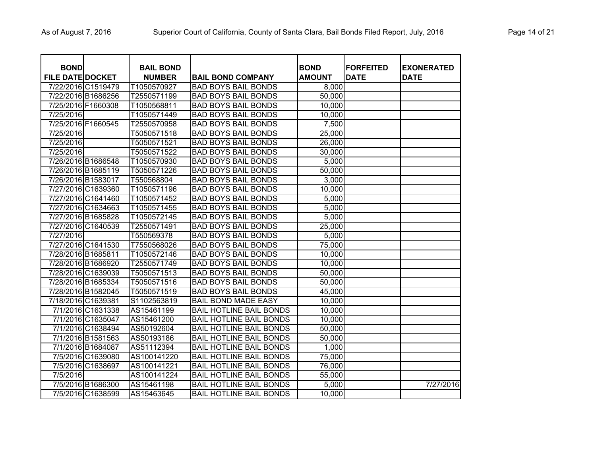| <b>BOND</b><br><b>FILE DATE DOCKET</b> |                    | <b>BAIL BOND</b><br><b>NUMBER</b> | <b>BAIL BOND COMPANY</b>       | <b>BOND</b><br><b>AMOUNT</b> | <b>FORFEITED</b><br><b>DATE</b> | <b>EXONERATED</b><br><b>DATE</b> |
|----------------------------------------|--------------------|-----------------------------------|--------------------------------|------------------------------|---------------------------------|----------------------------------|
|                                        | 7/22/2016 C1519479 | T1050570927                       | <b>BAD BOYS BAIL BONDS</b>     | 8,000                        |                                 |                                  |
|                                        | 7/22/2016 B1686256 | T2550571199                       | <b>BAD BOYS BAIL BONDS</b>     | 50,000                       |                                 |                                  |
| 7/25/2016 F1660308                     |                    | T1050568811                       | <b>BAD BOYS BAIL BONDS</b>     | 10,000                       |                                 |                                  |
| 7/25/2016                              |                    | T1050571449                       | <b>BAD BOYS BAIL BONDS</b>     | 10,000                       |                                 |                                  |
| 7/25/2016 F1660545                     |                    | T2550570958                       | <b>BAD BOYS BAIL BONDS</b>     | 7,500                        |                                 |                                  |
| 7/25/2016                              |                    | T5050571518                       | <b>BAD BOYS BAIL BONDS</b>     | 25,000                       |                                 |                                  |
| 7/25/2016                              |                    | T5050571521                       | <b>BAD BOYS BAIL BONDS</b>     | 26,000                       |                                 |                                  |
| 7/25/2016                              |                    | T5050571522                       | <b>BAD BOYS BAIL BONDS</b>     | 30,000                       |                                 |                                  |
| 7/26/2016 B1686548                     |                    | T1050570930                       | <b>BAD BOYS BAIL BONDS</b>     | 5,000                        |                                 |                                  |
| 7/26/2016 B1685119                     |                    | T5050571226                       | <b>BAD BOYS BAIL BONDS</b>     | 50,000                       |                                 |                                  |
| 7/26/2016 B1583017                     |                    | T550568804                        | <b>BAD BOYS BAIL BONDS</b>     | 3,000                        |                                 |                                  |
|                                        | 7/27/2016 C1639360 | T1050571196                       | <b>BAD BOYS BAIL BONDS</b>     | 10,000                       |                                 |                                  |
|                                        | 7/27/2016 C1641460 | T1050571452                       | <b>BAD BOYS BAIL BONDS</b>     | 5,000                        |                                 |                                  |
|                                        | 7/27/2016 C1634663 | T1050571455                       | <b>BAD BOYS BAIL BONDS</b>     | 5,000                        |                                 |                                  |
| 7/27/2016 B1685828                     |                    | T1050572145                       | <b>BAD BOYS BAIL BONDS</b>     | 5,000                        |                                 |                                  |
|                                        | 7/27/2016 C1640539 | T2550571491                       | <b>BAD BOYS BAIL BONDS</b>     | 25,000                       |                                 |                                  |
| 7/27/2016                              |                    | T550569378                        | <b>BAD BOYS BAIL BONDS</b>     | 5,000                        |                                 |                                  |
|                                        | 7/27/2016 C1641530 | T7550568026                       | <b>BAD BOYS BAIL BONDS</b>     | 75,000                       |                                 |                                  |
| 7/28/2016 B1685811                     |                    | T1050572146                       | <b>BAD BOYS BAIL BONDS</b>     | 10,000                       |                                 |                                  |
| 7/28/2016 B1686920                     |                    | T2550571749                       | <b>BAD BOYS BAIL BONDS</b>     | 10,000                       |                                 |                                  |
|                                        | 7/28/2016 C1639039 | T5050571513                       | <b>BAD BOYS BAIL BONDS</b>     | 50,000                       |                                 |                                  |
|                                        | 7/28/2016 B1685334 | T5050571516                       | <b>BAD BOYS BAIL BONDS</b>     | 50,000                       |                                 |                                  |
|                                        | 7/28/2016 B1582045 | T5050571519                       | <b>BAD BOYS BAIL BONDS</b>     | 45,000                       |                                 |                                  |
| 7/18/2016 C1639381                     |                    | S1102563819                       | <b>BAIL BOND MADE EASY</b>     | 10,000                       |                                 |                                  |
|                                        | 7/1/2016 C1631338  | AS15461199                        | <b>BAIL HOTLINE BAIL BONDS</b> | 10,000                       |                                 |                                  |
|                                        | 7/1/2016 C1635047  | AS15461200                        | <b>BAIL HOTLINE BAIL BONDS</b> | 10,000                       |                                 |                                  |
|                                        | 7/1/2016 C1638494  | AS50192604                        | <b>BAIL HOTLINE BAIL BONDS</b> | 50,000                       |                                 |                                  |
|                                        | 7/1/2016 B1581563  | AS50193186                        | <b>BAIL HOTLINE BAIL BONDS</b> | 50,000                       |                                 |                                  |
|                                        | 7/1/2016 B1684087  | AS51112394                        | <b>BAIL HOTLINE BAIL BONDS</b> | 1,000                        |                                 |                                  |
|                                        | 7/5/2016 C1639080  | AS100141220                       | <b>BAIL HOTLINE BAIL BONDS</b> | 75,000                       |                                 |                                  |
|                                        | 7/5/2016 C1638697  | AS100141221                       | <b>BAIL HOTLINE BAIL BONDS</b> | 76,000                       |                                 |                                  |
| 7/5/2016                               |                    | AS100141224                       | <b>BAIL HOTLINE BAIL BONDS</b> | 55,000                       |                                 |                                  |
|                                        | 7/5/2016 B1686300  | AS15461198                        | <b>BAIL HOTLINE BAIL BONDS</b> | 5,000                        |                                 | 7/27/2016                        |
|                                        | 7/5/2016 C1638599  | AS15463645                        | <b>BAIL HOTLINE BAIL BONDS</b> | 10,000                       |                                 |                                  |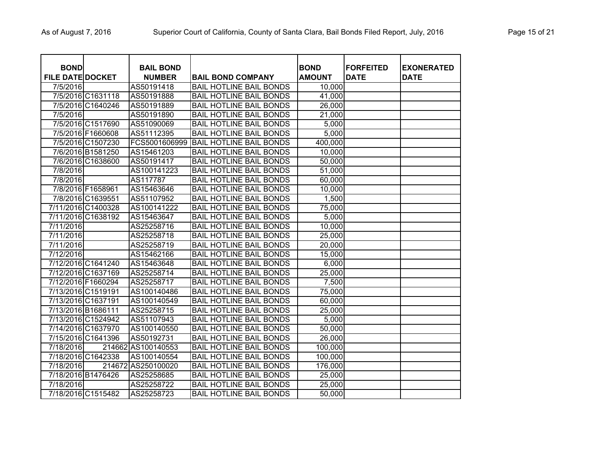| <b>BOND</b><br><b>FILE DATE DOCKET</b> |                    | <b>BAIL BOND</b><br><b>NUMBER</b> | <b>BAIL BOND COMPANY</b>       | <b>BOND</b><br><b>AMOUNT</b> | <b>FORFEITED</b><br><b>DATE</b> | <b>EXONERATED</b><br><b>DATE</b> |
|----------------------------------------|--------------------|-----------------------------------|--------------------------------|------------------------------|---------------------------------|----------------------------------|
| 7/5/2016                               |                    | AS50191418                        | <b>BAIL HOTLINE BAIL BONDS</b> | 10,000                       |                                 |                                  |
|                                        | 7/5/2016 C1631118  | AS50191888                        | <b>BAIL HOTLINE BAIL BONDS</b> | 41,000                       |                                 |                                  |
|                                        | 7/5/2016 C1640246  | AS50191889                        | <b>BAIL HOTLINE BAIL BONDS</b> | 26,000                       |                                 |                                  |
| 7/5/2016                               |                    | AS50191890                        | <b>BAIL HOTLINE BAIL BONDS</b> | 21,000                       |                                 |                                  |
|                                        | 7/5/2016 C1517690  | AS51090069                        | <b>BAIL HOTLINE BAIL BONDS</b> | 5,000                        |                                 |                                  |
|                                        | 7/5/2016 F1660608  | AS51112395                        | <b>BAIL HOTLINE BAIL BONDS</b> | 5,000                        |                                 |                                  |
|                                        | 7/5/2016 C1507230  | FCS5001606999                     | <b>BAIL HOTLINE BAIL BONDS</b> | 400,000                      |                                 |                                  |
|                                        | 7/6/2016 B1581250  | AS15461203                        | <b>BAIL HOTLINE BAIL BONDS</b> | 10,000                       |                                 |                                  |
|                                        | 7/6/2016 C1638600  | AS50191417                        | <b>BAIL HOTLINE BAIL BONDS</b> | 50,000                       |                                 |                                  |
| 7/8/2016                               |                    | AS100141223                       | <b>BAIL HOTLINE BAIL BONDS</b> | 51,000                       |                                 |                                  |
| 7/8/2016                               |                    | AS117787                          | <b>BAIL HOTLINE BAIL BONDS</b> | 60,000                       |                                 |                                  |
|                                        | 7/8/2016 F1658961  | AS15463646                        | <b>BAIL HOTLINE BAIL BONDS</b> | 10,000                       |                                 |                                  |
|                                        | 7/8/2016 C1639551  | AS51107952                        | <b>BAIL HOTLINE BAIL BONDS</b> | 1,500                        |                                 |                                  |
|                                        | 7/11/2016 C1400328 | AS100141222                       | <b>BAIL HOTLINE BAIL BONDS</b> | 75,000                       |                                 |                                  |
|                                        | 7/11/2016 C1638192 | AS15463647                        | <b>BAIL HOTLINE BAIL BONDS</b> | 5,000                        |                                 |                                  |
| 7/11/2016                              |                    | AS25258716                        | <b>BAIL HOTLINE BAIL BONDS</b> | 10,000                       |                                 |                                  |
| 7/11/2016                              |                    | AS25258718                        | <b>BAIL HOTLINE BAIL BONDS</b> | 25,000                       |                                 |                                  |
| 7/11/2016                              |                    | AS25258719                        | <b>BAIL HOTLINE BAIL BONDS</b> | 20,000                       |                                 |                                  |
| 7/12/2016                              |                    | AS15462166                        | <b>BAIL HOTLINE BAIL BONDS</b> | 15,000                       |                                 |                                  |
|                                        | 7/12/2016 C1641240 | AS15463648                        | <b>BAIL HOTLINE BAIL BONDS</b> | 6,000                        |                                 |                                  |
|                                        | 7/12/2016 C1637169 | AS25258714                        | <b>BAIL HOTLINE BAIL BONDS</b> | 25,000                       |                                 |                                  |
| 7/12/2016 F1660294                     |                    | AS25258717                        | <b>BAIL HOTLINE BAIL BONDS</b> | 7,500                        |                                 |                                  |
| 7/13/2016 C1519191                     |                    | AS100140486                       | <b>BAIL HOTLINE BAIL BONDS</b> | 75,000                       |                                 |                                  |
| 7/13/2016 C1637191                     |                    | AS100140549                       | <b>BAIL HOTLINE BAIL BONDS</b> | 60,000                       |                                 |                                  |
| 7/13/2016 B1686111                     |                    | AS25258715                        | <b>BAIL HOTLINE BAIL BONDS</b> | 25,000                       |                                 |                                  |
|                                        | 7/13/2016 C1524942 | AS51107943                        | <b>BAIL HOTLINE BAIL BONDS</b> | 5,000                        |                                 |                                  |
|                                        | 7/14/2016 C1637970 | AS100140550                       | <b>BAIL HOTLINE BAIL BONDS</b> | 50,000                       |                                 |                                  |
|                                        | 7/15/2016 C1641396 | AS50192731                        | <b>BAIL HOTLINE BAIL BONDS</b> | 26,000                       |                                 |                                  |
| 7/18/2016                              |                    | 214662 AS100140553                | <b>BAIL HOTLINE BAIL BONDS</b> | 100,000                      |                                 |                                  |
|                                        | 7/18/2016 C1642338 | AS100140554                       | <b>BAIL HOTLINE BAIL BONDS</b> | 100,000                      |                                 |                                  |
| 7/18/2016                              | 214672             | AS250100020                       | <b>BAIL HOTLINE BAIL BONDS</b> | 176,000                      |                                 |                                  |
| 7/18/2016 B1476426                     |                    | AS25258685                        | <b>BAIL HOTLINE BAIL BONDS</b> | 25,000                       |                                 |                                  |
| 7/18/2016                              |                    | AS25258722                        | <b>BAIL HOTLINE BAIL BONDS</b> | 25,000                       |                                 |                                  |
|                                        | 7/18/2016 C1515482 | AS25258723                        | <b>BAIL HOTLINE BAIL BONDS</b> | 50,000                       |                                 |                                  |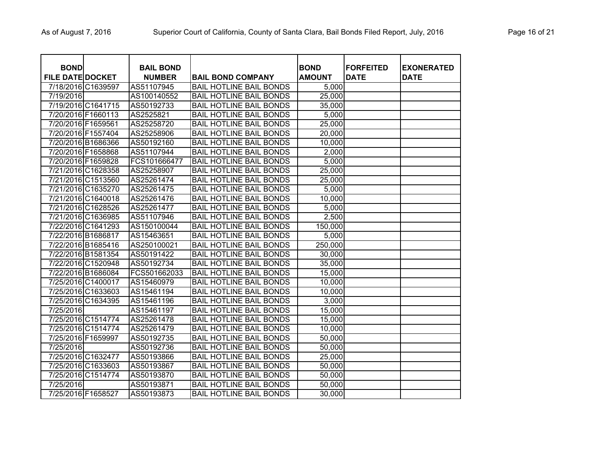| <b>BOND</b><br><b>FILE DATE DOCKET</b> |                    | <b>BAIL BOND</b><br><b>NUMBER</b> | <b>BAIL BOND COMPANY</b>       | <b>BOND</b><br><b>AMOUNT</b> | <b>FORFEITED</b><br><b>DATE</b> | <b>EXONERATED</b><br><b>DATE</b> |
|----------------------------------------|--------------------|-----------------------------------|--------------------------------|------------------------------|---------------------------------|----------------------------------|
| 7/18/2016 C1639597                     |                    | AS51107945                        | <b>BAIL HOTLINE BAIL BONDS</b> | 5,000                        |                                 |                                  |
| 7/19/2016                              |                    | AS100140552                       | <b>BAIL HOTLINE BAIL BONDS</b> | 25,000                       |                                 |                                  |
|                                        | 7/19/2016 C1641715 | AS50192733                        | <b>BAIL HOTLINE BAIL BONDS</b> | 35,000                       |                                 |                                  |
| 7/20/2016 F1660113                     |                    | AS2525821                         | <b>BAIL HOTLINE BAIL BONDS</b> | 5,000                        |                                 |                                  |
| 7/20/2016 F1659561                     |                    | AS25258720                        | <b>BAIL HOTLINE BAIL BONDS</b> | 25,000                       |                                 |                                  |
| 7/20/2016 F1557404                     |                    | AS25258906                        | <b>BAIL HOTLINE BAIL BONDS</b> | 20,000                       |                                 |                                  |
| 7/20/2016 B1686366                     |                    | AS50192160                        | <b>BAIL HOTLINE BAIL BONDS</b> | 10,000                       |                                 |                                  |
| 7/20/2016 F1658868                     |                    | AS51107944                        | <b>BAIL HOTLINE BAIL BONDS</b> | 2,000                        |                                 |                                  |
| 7/20/2016 F1659828                     |                    | FCS101666477                      | <b>BAIL HOTLINE BAIL BONDS</b> | 5,000                        |                                 |                                  |
|                                        | 7/21/2016 C1628358 | AS25258907                        | <b>BAIL HOTLINE BAIL BONDS</b> | 25,000                       |                                 |                                  |
| 7/21/2016 C1513560                     |                    | AS25261474                        | <b>BAIL HOTLINE BAIL BONDS</b> | 25,000                       |                                 |                                  |
|                                        | 7/21/2016 C1635270 | AS25261475                        | <b>BAIL HOTLINE BAIL BONDS</b> | 5,000                        |                                 |                                  |
| 7/21/2016 C1640018                     |                    | AS25261476                        | <b>BAIL HOTLINE BAIL BONDS</b> | 10,000                       |                                 |                                  |
|                                        | 7/21/2016 C1628526 | AS25261477                        | <b>BAIL HOTLINE BAIL BONDS</b> | 5,000                        |                                 |                                  |
|                                        | 7/21/2016 C1636985 | AS51107946                        | <b>BAIL HOTLINE BAIL BONDS</b> | 2,500                        |                                 |                                  |
|                                        | 7/22/2016 C1641293 | AS150100044                       | <b>BAIL HOTLINE BAIL BONDS</b> | 150,000                      |                                 |                                  |
| 7/22/2016 B1686817                     |                    | AS15463651                        | <b>BAIL HOTLINE BAIL BONDS</b> | 5,000                        |                                 |                                  |
| 7/22/2016 B1685416                     |                    | AS250100021                       | <b>BAIL HOTLINE BAIL BONDS</b> | 250,000                      |                                 |                                  |
| 7/22/2016 B1581354                     |                    | AS50191422                        | <b>BAIL HOTLINE BAIL BONDS</b> | 30,000                       |                                 |                                  |
|                                        | 7/22/2016 C1520948 | AS50192734                        | <b>BAIL HOTLINE BAIL BONDS</b> | 35,000                       |                                 |                                  |
| 7/22/2016 B1686084                     |                    | FCS501662033                      | <b>BAIL HOTLINE BAIL BONDS</b> | 15,000                       |                                 |                                  |
| 7/25/2016 C1400017                     |                    | AS15460979                        | <b>BAIL HOTLINE BAIL BONDS</b> | 10,000                       |                                 |                                  |
|                                        | 7/25/2016 C1633603 | AS15461194                        | <b>BAIL HOTLINE BAIL BONDS</b> | 10,000                       |                                 |                                  |
|                                        | 7/25/2016 C1634395 | AS15461196                        | <b>BAIL HOTLINE BAIL BONDS</b> | 3,000                        |                                 |                                  |
| 7/25/2016                              |                    | AS15461197                        | <b>BAIL HOTLINE BAIL BONDS</b> | 15,000                       |                                 |                                  |
|                                        | 7/25/2016 C1514774 | AS25261478                        | <b>BAIL HOTLINE BAIL BONDS</b> | 15,000                       |                                 |                                  |
|                                        | 7/25/2016 C1514774 | AS25261479                        | <b>BAIL HOTLINE BAIL BONDS</b> | 10,000                       |                                 |                                  |
| 7/25/2016 F1659997                     |                    | AS50192735                        | <b>BAIL HOTLINE BAIL BONDS</b> | 50,000                       |                                 |                                  |
| 7/25/2016                              |                    | AS50192736                        | <b>BAIL HOTLINE BAIL BONDS</b> | 50,000                       |                                 |                                  |
| 7/25/2016 C1632477                     |                    | AS50193866                        | <b>BAIL HOTLINE BAIL BONDS</b> | 25,000                       |                                 |                                  |
|                                        | 7/25/2016 C1633603 | AS50193867                        | <b>BAIL HOTLINE BAIL BONDS</b> | 50,000                       |                                 |                                  |
| 7/25/2016 C1514774                     |                    | AS50193870                        | <b>BAIL HOTLINE BAIL BONDS</b> | 50,000                       |                                 |                                  |
| 7/25/2016                              |                    | AS50193871                        | <b>BAIL HOTLINE BAIL BONDS</b> | 50,000                       |                                 |                                  |
| 7/25/2016 F1658527                     |                    | AS50193873                        | <b>BAIL HOTLINE BAIL BONDS</b> | 30,000                       |                                 |                                  |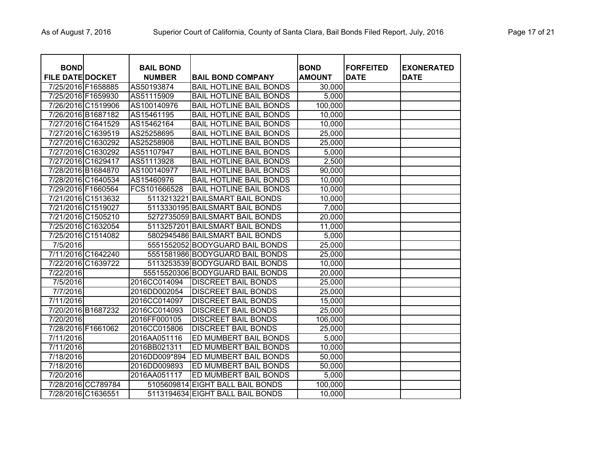| <b>BOND</b>             |                    | <b>BAIL BOND</b> |                                  | <b>BOND</b>   | <b>FORFEITED</b> | <b>EXONERATED</b> |
|-------------------------|--------------------|------------------|----------------------------------|---------------|------------------|-------------------|
| <b>FILE DATE DOCKET</b> |                    | <b>NUMBER</b>    | <b>BAIL BOND COMPANY</b>         | <b>AMOUNT</b> | <b>DATE</b>      | <b>DATE</b>       |
| 7/25/2016 F1658885      |                    | AS50193874       | <b>BAIL HOTLINE BAIL BONDS</b>   | 30,000        |                  |                   |
| 7/25/2016 F1659930      |                    | AS51115909       | <b>BAIL HOTLINE BAIL BONDS</b>   | 5,000         |                  |                   |
| 7/26/2016 C1519906      |                    | AS100140976      | <b>BAIL HOTLINE BAIL BONDS</b>   | 100,000       |                  |                   |
| 7/26/2016 B1687182      |                    | AS15461195       | <b>BAIL HOTLINE BAIL BONDS</b>   | 10,000        |                  |                   |
| 7/27/2016 C1641529      |                    | AS15462164       | <b>BAIL HOTLINE BAIL BONDS</b>   | 10,000        |                  |                   |
| 7/27/2016 C1639519      |                    | AS25258695       | <b>BAIL HOTLINE BAIL BONDS</b>   | 25,000        |                  |                   |
| 7/27/2016 C1630292      |                    | AS25258908       | <b>BAIL HOTLINE BAIL BONDS</b>   | 25,000        |                  |                   |
| 7/27/2016 C1630292      |                    | AS51107947       | <b>BAIL HOTLINE BAIL BONDS</b>   | 5,000         |                  |                   |
| 7/27/2016 C1629417      |                    | AS51113928       | <b>BAIL HOTLINE BAIL BONDS</b>   | 2,500         |                  |                   |
| 7/28/2016 B1684870      |                    | AS100140977      | <b>BAIL HOTLINE BAIL BONDS</b>   | 90,000        |                  |                   |
| 7/28/2016 C1640534      |                    | AS15460976       | <b>BAIL HOTLINE BAIL BONDS</b>   | 10,000        |                  |                   |
| 7/29/2016 F1660564      |                    | FCS101666528     | <b>BAIL HOTLINE BAIL BONDS</b>   | 10,000        |                  |                   |
| 7/21/2016 C1513632      |                    |                  | 5113213221 BAILSMART BAIL BONDS  | 10,000        |                  |                   |
| 7/21/2016 C1519027      |                    |                  | 5113330195 BAILSMART BAIL BONDS  | 7,000         |                  |                   |
| 7/21/2016 C1505210      |                    |                  | 5272735059 BAILSMART BAIL BONDS  | 20,000        |                  |                   |
| 7/25/2016 C1632054      |                    |                  | 5113257201 BAILSMART BAIL BONDS  | 11,000        |                  |                   |
| 7/25/2016 C1514082      |                    |                  | 5802945486 BAILSMART BAIL BONDS  | 5,000         |                  |                   |
| 7/5/2016                |                    |                  | 5551552052 BODYGUARD BAIL BONDS  | 25,000        |                  |                   |
| 7/11/2016 C1642240      |                    |                  | 5551581986 BODYGUARD BAIL BONDS  | 25,000        |                  |                   |
| 7/22/2016 C1639722      |                    |                  | 5113253539 BODYGUARD BAIL BONDS  | 10,000        |                  |                   |
| 7/22/2016               |                    |                  | 55515520306 BODYGUARD BAIL BONDS | 20,000        |                  |                   |
| 7/5/2016                |                    | 2016CC014094     | <b>DISCREET BAIL BONDS</b>       | 25,000        |                  |                   |
| 7/7/2016                |                    | 2016DD002054     | <b>DISCREET BAIL BONDS</b>       | 25,000        |                  |                   |
| 7/11/2016               |                    | 2016CC014097     | <b>DISCREET BAIL BONDS</b>       | 15,000        |                  |                   |
| 7/20/2016 B1687232      |                    | 2016CC014093     | <b>DISCREET BAIL BONDS</b>       | 25,000        |                  |                   |
| 7/20/2016               |                    | 2016FF000105     | <b>DISCREET BAIL BONDS</b>       | 106,000       |                  |                   |
| 7/28/2016 F1661062      |                    | 2016CC015806     | <b>DISCREET BAIL BONDS</b>       | 25,000        |                  |                   |
| 7/11/2016               |                    | 2016AA051116     | ED MUMBERT BAIL BONDS            | 5,000         |                  |                   |
| 7/11/2016               |                    | 2016BB021311     | ED MUMBERT BAIL BONDS            | 10,000        |                  |                   |
| 7/18/2016               |                    | 2016DD009*894    | ED MUMBERT BAIL BONDS            | 50,000        |                  |                   |
| 7/18/2016               |                    | 2016DD009893     | ED MUMBERT BAIL BONDS            | 50,000        |                  |                   |
| 7/20/2016               |                    | 2016AA051117     | ED MUMBERT BAIL BONDS            | 5,000         |                  |                   |
|                         | 7/28/2016 CC789784 |                  | 5105609814 EIGHT BALL BAIL BONDS | 100,000       |                  |                   |
| 7/28/2016 C1636551      |                    |                  | 5113194634 EIGHT BALL BAIL BONDS | 10,000        |                  |                   |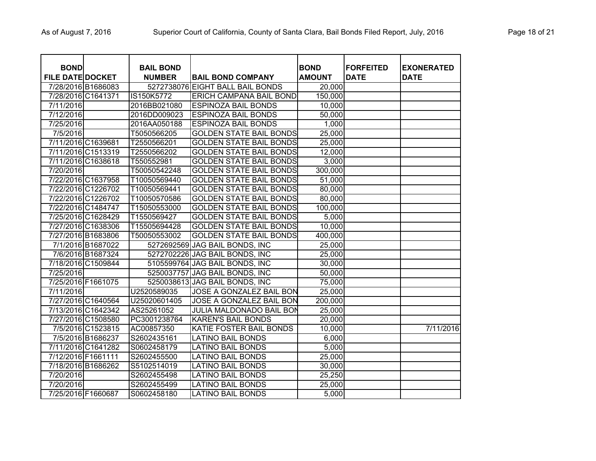| <b>BOND</b>             |                   | <b>BAIL BOND</b> |                                  | <b>BOND</b>   | <b>FORFEITED</b> | <b>EXONERATED</b> |
|-------------------------|-------------------|------------------|----------------------------------|---------------|------------------|-------------------|
| <b>FILE DATE DOCKET</b> |                   | <b>NUMBER</b>    | <b>BAIL BOND COMPANY</b>         | <b>AMOUNT</b> | <b>DATE</b>      | <b>DATE</b>       |
| 7/28/2016 B1686083      |                   |                  | 5272738076 EIGHT BALL BAIL BONDS | 20,000        |                  |                   |
| 7/28/2016 C1641371      |                   | IS150K5772       | <b>ERICH CAMPANA BAIL BOND</b>   | 150,000       |                  |                   |
| 7/11/2016               |                   | 2016BB021080     | <b>ESPINOZA BAIL BONDS</b>       | 10,000        |                  |                   |
| 7/12/2016               |                   | 2016DD009023     | <b>ESPINOZA BAIL BONDS</b>       | 50,000        |                  |                   |
| 7/25/2016               |                   | 2016AA050188     | <b>ESPINOZA BAIL BONDS</b>       | 1,000         |                  |                   |
| 7/5/2016                |                   | T5050566205      | <b>GOLDEN STATE BAIL BONDS</b>   | 25,000        |                  |                   |
| 7/11/2016 C1639681      |                   | T2550566201      | <b>GOLDEN STATE BAIL BONDS</b>   | 25,000        |                  |                   |
| 7/11/2016 C1513319      |                   | T2550566202      | <b>GOLDEN STATE BAIL BONDS</b>   | 12,000        |                  |                   |
| 7/11/2016 C1638618      |                   | T550552981       | <b>GOLDEN STATE BAIL BONDS</b>   | 3,000         |                  |                   |
| 7/20/2016               |                   | T50050542248     | <b>GOLDEN STATE BAIL BONDS</b>   | 300,000       |                  |                   |
| 7/22/2016 C1637958      |                   | T10050569440     | <b>GOLDEN STATE BAIL BONDS</b>   | 51,000        |                  |                   |
| 7/22/2016 C1226702      |                   | T10050569441     | <b>GOLDEN STATE BAIL BONDS</b>   | 80,000        |                  |                   |
| 7/22/2016 C1226702      |                   | T10050570586     | <b>GOLDEN STATE BAIL BONDS</b>   | 80,000        |                  |                   |
| 7/22/2016 C1484747      |                   | T15050553000     | <b>GOLDEN STATE BAIL BONDS</b>   | 100,000       |                  |                   |
| 7/25/2016 C1628429      |                   | T1550569427      | <b>GOLDEN STATE BAIL BONDS</b>   | 5,000         |                  |                   |
| 7/27/2016 C1638306      |                   | T15505694428     | <b>GOLDEN STATE BAIL BONDS</b>   | 10,000        |                  |                   |
| 7/27/2016 B1683806      |                   | T50050553002     | <b>GOLDEN STATE BAIL BONDS</b>   | 400,000       |                  |                   |
|                         | 7/1/2016 B1687022 |                  | 5272692569 JAG BAIL BONDS, INC   | 25,000        |                  |                   |
|                         | 7/6/2016 B1687324 |                  | 5272702226 JAG BAIL BONDS, INC   | 25,000        |                  |                   |
| 7/18/2016 C1509844      |                   |                  | 5105599764 JAG BAIL BONDS, INC   | 30,000        |                  |                   |
| 7/25/2016               |                   |                  | 5250037757 JAG BAIL BONDS, INC   | 50,000        |                  |                   |
| 7/25/2016 F1661075      |                   |                  | 5250038613 JAG BAIL BONDS, INC   | 75,000        |                  |                   |
| 7/11/2016               |                   | U2520589035      | <b>JOSE A GONZALEZ BAIL BON</b>  | 25,000        |                  |                   |
| 7/27/2016 C1640564      |                   | U25020601405     | <b>JOSE A GONZALEZ BAIL BON</b>  | 200,000       |                  |                   |
| 7/13/2016 C1642342      |                   | AS25261052       | JULIA MALDONADO BAIL BON         | 25,000        |                  |                   |
| 7/27/2016 C1508580      |                   | PC3001238764     | <b>KAREN'S BAIL BONDS</b>        | 20,000        |                  |                   |
|                         | 7/5/2016 C1523815 | AC00857350       | KATIE FOSTER BAIL BONDS          | 10,000        |                  | 7/11/2016         |
|                         | 7/5/2016 B1686237 | S2602435161      | <b>LATINO BAIL BONDS</b>         | 6,000         |                  |                   |
| 7/11/2016 C1641282      |                   | S0602458179      | <b>LATINO BAIL BONDS</b>         | 5,000         |                  |                   |
| 7/12/2016 F1661111      |                   | S2602455500      | LATINO BAIL BONDS                | 25,000        |                  |                   |
| 7/18/2016 B1686262      |                   | S5102514019      | <b>LATINO BAIL BONDS</b>         | 30,000        |                  |                   |
| 7/20/2016               |                   | S2602455498      | <b>LATINO BAIL BONDS</b>         | 25,250        |                  |                   |
| 7/20/2016               |                   | S2602455499      | <b>LATINO BAIL BONDS</b>         | 25,000        |                  |                   |
| 7/25/2016 F1660687      |                   | S0602458180      | LATINO BAIL BONDS                | 5,000         |                  |                   |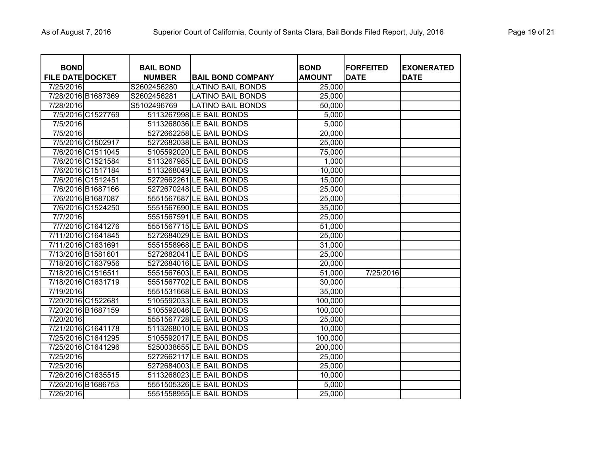| <b>BOND</b><br><b>FILE DATE DOCKET</b> |                    | <b>BAIL BOND</b><br><b>NUMBER</b> | <b>BAIL BOND COMPANY</b> | <b>BOND</b><br><b>AMOUNT</b> | <b>FORFEITED</b><br><b>DATE</b> | <b>EXONERATED</b><br><b>DATE</b> |
|----------------------------------------|--------------------|-----------------------------------|--------------------------|------------------------------|---------------------------------|----------------------------------|
| 7/25/2016                              |                    | S2602456280                       | <b>LATINO BAIL BONDS</b> | 25,000                       |                                 |                                  |
|                                        | 7/28/2016 B1687369 | S2602456281                       | <b>LATINO BAIL BONDS</b> | 25,000                       |                                 |                                  |
| 7/28/2016                              |                    | S5102496769                       | <b>LATINO BAIL BONDS</b> | 50,000                       |                                 |                                  |
|                                        | 7/5/2016 C1527769  |                                   | 5113267998 LE BAIL BONDS | 5,000                        |                                 |                                  |
| 7/5/2016                               |                    |                                   | 5113268036 LE BAIL BONDS | 5,000                        |                                 |                                  |
| 7/5/2016                               |                    |                                   | 5272662258 LE BAIL BONDS | 20,000                       |                                 |                                  |
|                                        | 7/5/2016 C1502917  |                                   | 5272682038 LE BAIL BONDS | 25,000                       |                                 |                                  |
|                                        | 7/6/2016 C1511045  |                                   | 5105592020 LE BAIL BONDS | 75,000                       |                                 |                                  |
|                                        | 7/6/2016 C1521584  |                                   | 5113267985 LE BAIL BONDS | 1,000                        |                                 |                                  |
|                                        | 7/6/2016 C1517184  |                                   | 5113268049 LE BAIL BONDS | 10,000                       |                                 |                                  |
|                                        | 7/6/2016 C1512451  |                                   | 5272662261 LE BAIL BONDS | 15,000                       |                                 |                                  |
|                                        | 7/6/2016 B1687166  |                                   | 5272670248 LE BAIL BONDS | 25,000                       |                                 |                                  |
|                                        | 7/6/2016 B1687087  |                                   | 5551567687 LE BAIL BONDS | 25,000                       |                                 |                                  |
|                                        | 7/6/2016 C1524250  |                                   | 5551567690 LE BAIL BONDS | 35,000                       |                                 |                                  |
| 7/7/2016                               |                    |                                   | 5551567591 LE BAIL BONDS | 25,000                       |                                 |                                  |
|                                        | 7/7/2016 C1641276  |                                   | 5551567715 LE BAIL BONDS | 51,000                       |                                 |                                  |
|                                        | 7/11/2016 C1641845 |                                   | 5272684029 LE BAIL BONDS | 25,000                       |                                 |                                  |
|                                        | 7/11/2016 C1631691 |                                   | 5551558968 LE BAIL BONDS | 31,000                       |                                 |                                  |
| 7/13/2016 B1581601                     |                    |                                   | 5272682041 LE BAIL BONDS | 25,000                       |                                 |                                  |
|                                        | 7/18/2016 C1637956 |                                   | 5272684016 LE BAIL BONDS | 20,000                       |                                 |                                  |
|                                        | 7/18/2016 C1516511 |                                   | 5551567603 LE BAIL BONDS | 51,000                       | 7/25/2016                       |                                  |
|                                        | 7/18/2016 C1631719 |                                   | 5551567702 LE BAIL BONDS | 30,000                       |                                 |                                  |
| 7/19/2016                              |                    |                                   | 5551531668 LE BAIL BONDS | 35,000                       |                                 |                                  |
|                                        | 7/20/2016 C1522681 |                                   | 5105592033 LE BAIL BONDS | 100,000                      |                                 |                                  |
|                                        | 7/20/2016 B1687159 |                                   | 5105592046 LE BAIL BONDS | 100,000                      |                                 |                                  |
| 7/20/2016                              |                    |                                   | 5551567728 LE BAIL BONDS | 25,000                       |                                 |                                  |
|                                        | 7/21/2016 C1641178 |                                   | 5113268010 LE BAIL BONDS | 10,000                       |                                 |                                  |
|                                        | 7/25/2016 C1641295 |                                   | 5105592017 LE BAIL BONDS | 100,000                      |                                 |                                  |
|                                        | 7/25/2016 C1641296 |                                   | 5250038655 LE BAIL BONDS | 200,000                      |                                 |                                  |
| 7/25/2016                              |                    |                                   | 5272662117 LE BAIL BONDS | 25,000                       |                                 |                                  |
| 7/25/2016                              |                    |                                   | 5272684003 LE BAIL BONDS | 25,000                       |                                 |                                  |
|                                        | 7/26/2016 C1635515 |                                   | 5113268023 LE BAIL BONDS | 10,000                       |                                 |                                  |
|                                        | 7/26/2016 B1686753 |                                   | 5551505326 LE BAIL BONDS | 5,000                        |                                 |                                  |
| 7/26/2016                              |                    |                                   | 5551558955 LE BAIL BONDS | 25,000                       |                                 |                                  |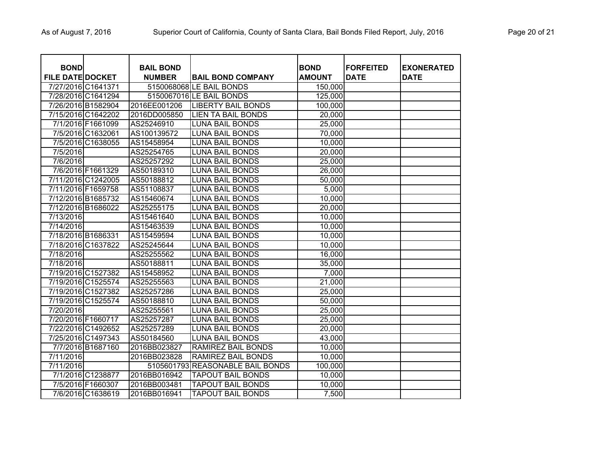| <b>BOND</b><br><b>FILE DATE DOCKET</b> |                    | <b>BAIL BOND</b><br><b>NUMBER</b> | <b>BAIL BOND COMPANY</b>         | <b>BOND</b><br><b>AMOUNT</b> | <b>FORFEITED</b><br><b>DATE</b> | <b>EXONERATED</b><br><b>DATE</b> |
|----------------------------------------|--------------------|-----------------------------------|----------------------------------|------------------------------|---------------------------------|----------------------------------|
| 7/27/2016 C1641371                     |                    |                                   | 5150068068 LE BAIL BONDS         | 150,000                      |                                 |                                  |
|                                        | 7/28/2016 C1641294 |                                   | 5150067016 LE BAIL BONDS         | 125,000                      |                                 |                                  |
| 7/26/2016 B1582904                     |                    | 2016EE001206                      | <b>LIBERTY BAIL BONDS</b>        | 100,000                      |                                 |                                  |
| 7/15/2016 C1642202                     |                    | 2016DD005850                      | <b>LIEN TA BAIL BONDS</b>        | 20,000                       |                                 |                                  |
|                                        | 7/1/2016 F1661099  | AS25246910                        | <b>LUNA BAIL BONDS</b>           | 25,000                       |                                 |                                  |
|                                        | 7/5/2016 C1632061  | AS100139572                       | <b>LUNA BAIL BONDS</b>           | 70,000                       |                                 |                                  |
|                                        | 7/5/2016 C1638055  | AS15458954                        | <b>LUNA BAIL BONDS</b>           | 10,000                       |                                 |                                  |
| 7/5/2016                               |                    | AS25254765                        | <b>LUNA BAIL BONDS</b>           | 20,000                       |                                 |                                  |
| 7/6/2016                               |                    | AS25257292                        | <b>LUNA BAIL BONDS</b>           | 25,000                       |                                 |                                  |
|                                        | 7/6/2016 F1661329  | AS50189310                        | <b>LUNA BAIL BONDS</b>           | 26,000                       |                                 |                                  |
| 7/11/2016 C1242005                     |                    | AS50188812                        | <b>LUNA BAIL BONDS</b>           | 50,000                       |                                 |                                  |
| 7/11/2016 F1659758                     |                    | AS51108837                        | <b>LUNA BAIL BONDS</b>           | 5,000                        |                                 |                                  |
| 7/12/2016 B1685732                     |                    | AS15460674                        | <b>LUNA BAIL BONDS</b>           | 10,000                       |                                 |                                  |
| 7/12/2016 B1686022                     |                    | AS25255175                        | LUNA BAIL BONDS                  | 20,000                       |                                 |                                  |
| 7/13/2016                              |                    | AS15461640                        | <b>LUNA BAIL BONDS</b>           | 10,000                       |                                 |                                  |
| 7/14/2016                              |                    | AS15463539                        | <b>LUNA BAIL BONDS</b>           | 10,000                       |                                 |                                  |
| 7/18/2016 B1686331                     |                    | AS15459594                        | <b>LUNA BAIL BONDS</b>           | 10,000                       |                                 |                                  |
| 7/18/2016 C1637822                     |                    | AS25245644                        | <b>LUNA BAIL BONDS</b>           | 10,000                       |                                 |                                  |
| 7/18/2016                              |                    | AS25255562                        | <b>LUNA BAIL BONDS</b>           | 16,000                       |                                 |                                  |
| 7/18/2016                              |                    | AS50188811                        | <b>LUNA BAIL BONDS</b>           | 35,000                       |                                 |                                  |
| 7/19/2016 C1527382                     |                    | AS15458952                        | <b>LUNA BAIL BONDS</b>           | 7,000                        |                                 |                                  |
| 7/19/2016 C1525574                     |                    | AS25255563                        | <b>LUNA BAIL BONDS</b>           | 21,000                       |                                 |                                  |
| 7/19/2016 C1527382                     |                    | AS25257286                        | <b>LUNA BAIL BONDS</b>           | 25,000                       |                                 |                                  |
| 7/19/2016 C1525574                     |                    | AS50188810                        | <b>LUNA BAIL BONDS</b>           | 50,000                       |                                 |                                  |
| 7/20/2016                              |                    | AS25255561                        | <b>LUNA BAIL BONDS</b>           | 25,000                       |                                 |                                  |
| 7/20/2016 F1660717                     |                    | AS25257287                        | <b>LUNA BAIL BONDS</b>           | 25,000                       |                                 |                                  |
| 7/22/2016 C1492652                     |                    | AS25257289                        | <b>LUNA BAIL BONDS</b>           | 20,000                       |                                 |                                  |
| 7/25/2016 C1497343                     |                    | AS50184560                        | <b>LUNA BAIL BONDS</b>           | 43,000                       |                                 |                                  |
|                                        | 7/7/2016 B1687160  | 2016BB023827                      | <b>RAMIREZ BAIL BONDS</b>        | 10,000                       |                                 |                                  |
| 7/11/2016                              |                    | 2016BB023828                      | <b>RAMIREZ BAIL BONDS</b>        | 10,000                       |                                 |                                  |
| 7/11/2016                              |                    |                                   | 5105601793 REASONABLE BAIL BONDS | 100,000                      |                                 |                                  |
|                                        | 7/1/2016 C1238877  | 2016BB016942                      | <b>TAPOUT BAIL BONDS</b>         | 10,000                       |                                 |                                  |
|                                        | 7/5/2016 F1660307  | 2016BB003481                      | <b>TAPOUT BAIL BONDS</b>         | 10,000                       |                                 |                                  |
|                                        | 7/6/2016 C1638619  | 2016BB016941                      | <b>TAPOUT BAIL BONDS</b>         | 7,500                        |                                 |                                  |